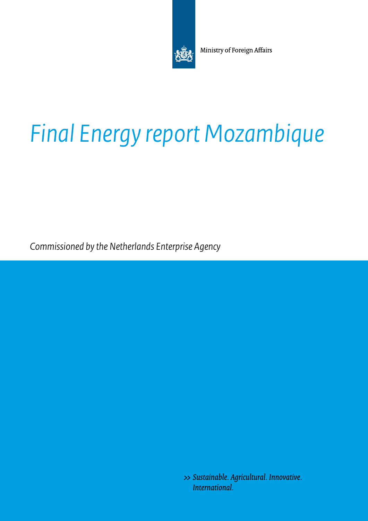

Ministry of Foreign Affairs

# *Final Energy report Mozambique*

*Commissioned by the Netherlands Enterprise Agency* 

>> Sustainable. Agricultural. Innovative. International.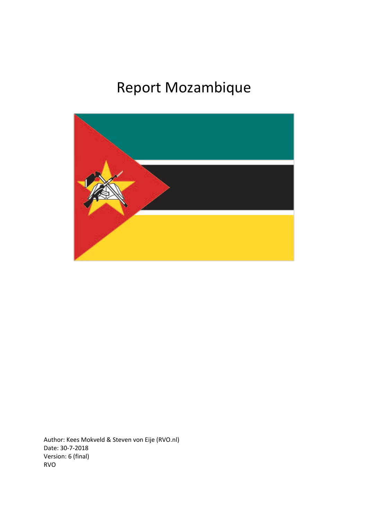## Report Mozambique



Author: Kees Mokveld & Steven von Eije (RVO.nl) Date: 30-7-2018 Version: 6 (final) RVO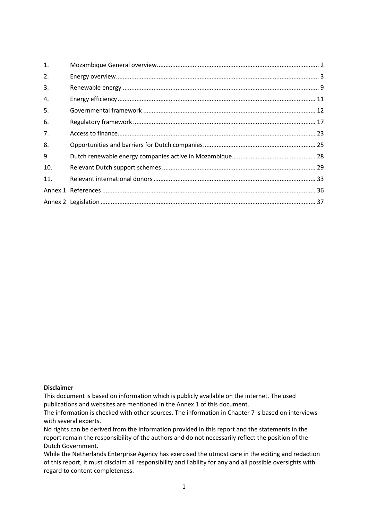| 1.             |  |
|----------------|--|
| 2.             |  |
| 3.             |  |
| 4.             |  |
| 5.             |  |
| 6.             |  |
| 7 <sub>1</sub> |  |
| 8.             |  |
| 9.             |  |
| 10.            |  |
| 11.            |  |
|                |  |
|                |  |

#### **Disclaimer**

 This document is based on information which is publicly available on the internet. The used publications and websites are mentioned in the Annex 1 of this document.

The information is checked with other sources. The information in Chapter 7 is based on interviews with several experts.

No rights can be derived from the information provided in this report and the statements in the report remain the responsibility of the authors and do not necessarily reflect the position of the Dutch Government.

While the Netherlands Enterprise Agency has exercised the utmost care in the editing and redaction of this report, it must disclaim all responsibility and liability for any and all possible oversights with regard to content completeness.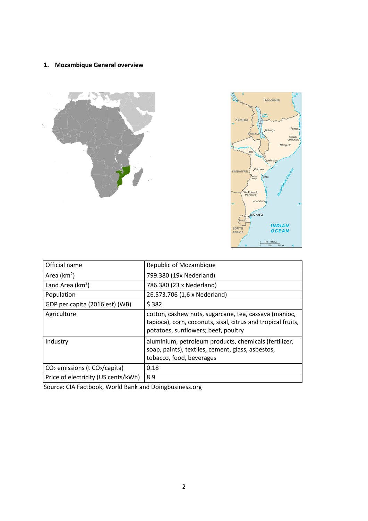## <span id="page-3-0"></span>**1. Mozambique General overview**





| Official name                       | Republic of Mozambique                                                                                                                                       |
|-------------------------------------|--------------------------------------------------------------------------------------------------------------------------------------------------------------|
| Area $(km2)$                        | 799.380 (19x Nederland)                                                                                                                                      |
| Land Area ( $km^2$ )                | 786.380 (23 x Nederland)                                                                                                                                     |
| Population                          | 26.573.706 (1,6 x Nederland)                                                                                                                                 |
| GDP per capita (2016 est) (WB)      | \$382                                                                                                                                                        |
| Agriculture                         | cotton, cashew nuts, sugarcane, tea, cassava (manioc,<br>tapioca), corn, coconuts, sisal, citrus and tropical fruits,<br>potatoes, sunflowers; beef, poultry |
| Industry                            | aluminium, petroleum products, chemicals (fertilizer,<br>soap, paints), textiles, cement, glass, asbestos,<br>tobacco, food, beverages                       |
| $CO2$ emissions (t $CO2/capita$ )   | 0.18                                                                                                                                                         |
| Price of electricity (US cents/kWh) | 8.9                                                                                                                                                          |

Source: CIA Factbook, World Bank and [Doingbusiness.org](http:Doingbusiness.org)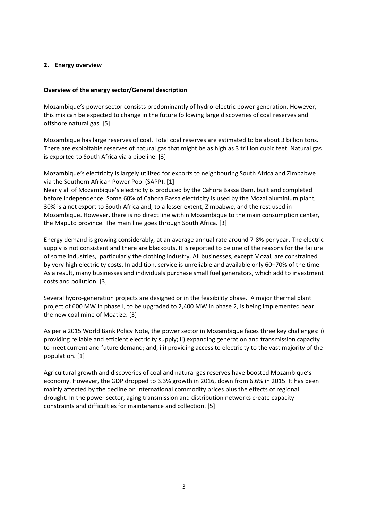#### <span id="page-4-0"></span>**2. Energy overview**

#### **Overview of the energy sector/General description**

Mozambique's power sector consists predominantly of hydro-electric power generation. However, this mix can be expected to change in the future following large discoveries of coal reserves and offshore natural gas. [\[5\]](#page-37-1)

 There are exploitable reserves of natural gas that might be as high as 3 trillion cubic feet. Natural gas Mozambique has large reserves of coal. Total coal reserves are estimated to be about 3 billion tons. is exported to South Africa via a pipeline. [[3](#page-37-1)]

Mozambique's electricity is largely utilized for exports to neighbouring South Africa and Zimbabwe via the Southern African Power Pool (SAPP). [\[1\]](#page-37-1)

Nearly all of Mozambique's electricity is produced by the Cahora Bassa Dam, built and completed before independence. Some 60% of Cahora Bassa electricity is used by the Mozal aluminium plant, 30% is a net export to South Africa and, to a lesser extent, Zimbabwe, and the rest used in Mozambique. However, there is no direct line within Mozambique to the main consumption center, the Maputo province. The main line goes through South Africa. [\[3\]](#page-37-1)

Energy demand is growing considerably, at an average annual rate around 7-8% per year. The electric supply is not consistent and there are blackouts. It is reported to be one of the reasons for the failure of some industries, particularly the clothing industry. All businesses, except Mozal, are constrained by very high electricity costs. In addition, service is unreliable and available only 60–70% of the time. As a result, many businesses and individuals purchase small fuel generators, which add to investment costs and pollution. [\[3\]](#page-37-1)

Several hydro-generation projects are designed or in the feasibility phase. A major thermal plant project of 600 MW in phase I, to be upgraded to 2,400 MW in phase 2, is being implemented near the new coal mine of Moatize. [\[3](#page-37-1)]

 to meet current and future demand; and, iii) providing access to electricity to the vast majority of the As per a 2015 World Bank Policy Note, the power sector in Mozambique faces three key challenges: i) providing reliable and efficient electricity supply; ii) expanding generation and transmission capacity population. [\[1\]](#page-37-1)

Agricultural growth and discoveries of coal and natural gas reserves have boosted Mozambique's economy. However, the GDP dropped to 3.3% growth in 2016, down from 6.6% in 2015. It has been mainly affected by the decline on international commodity prices plus the effects of regional drought. In the power sector, aging transmission and distribution networks create capacity constraints and difficulties for maintenance and collection. [\[5\]](#page-37-1)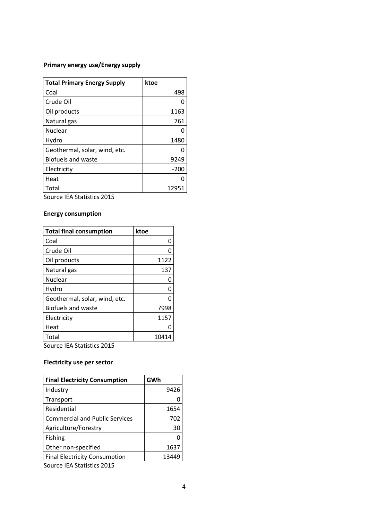### **Primary energy use/Energy supply**

| <b>Total Primary Energy Supply</b> | ktoe   |
|------------------------------------|--------|
| Coal                               | 498    |
| Crude Oil                          |        |
| Oil products                       | 1163   |
| Natural gas                        | 761    |
| Nuclear                            |        |
| Hydro                              | 1480   |
| Geothermal, solar, wind, etc.      |        |
| <b>Biofuels and waste</b>          | 9249   |
| Electricity                        | $-200$ |
| Heat                               |        |
| Total                              | 12951  |

Source IEA Statistics 2015

### **Energy consumption**

| <b>Total final consumption</b> | ktoe  |
|--------------------------------|-------|
| Coal                           |       |
| Crude Oil                      |       |
| Oil products                   | 1122  |
| Natural gas                    | 137   |
| Nuclear                        |       |
| Hydro                          | 0     |
| Geothermal, solar, wind, etc.  |       |
| <b>Biofuels and waste</b>      | 7998  |
| Electricity                    | 1157  |
| Heat                           |       |
| Total                          | 10414 |

Source IEA Statistics 2015

### **Electricity use per sector**

| <b>Final Electricity Consumption</b>  | GWh |       |
|---------------------------------------|-----|-------|
| Industry                              |     | 9426  |
| Transport                             |     |       |
| Residential                           |     | 1654  |
| <b>Commercial and Public Services</b> |     | 702   |
| Agriculture/Forestry                  |     | 30    |
| <b>Fishing</b>                        |     |       |
| Other non-specified                   |     | 1637  |
| <b>Final Electricity Consumption</b>  |     | 13449 |

Source IEA Statistics 2015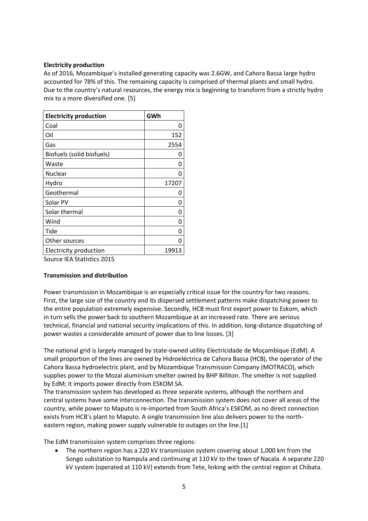#### **Electricity production**

As of 2016, Mozambique's installed generating capacity was 2.6GW, and Cahora Bassa large hydro accounted for 78% of this. The remaining capacity is comprised of thermal plants and small hydro. Due to the country's natural resources, the energy mix is beginning to transform from a strictly hydro mix to a more diversified one. [\[5\]](#page-37-1)

| <b>Electricity production</b>                                                             | GWh   |
|-------------------------------------------------------------------------------------------|-------|
| Coal                                                                                      | ი     |
| Oil                                                                                       | 152   |
| Gas                                                                                       | 2554  |
| Biofuels (solid biofuels)                                                                 |       |
| Waste                                                                                     | N     |
| Nuclear                                                                                   |       |
| Hydro                                                                                     | 17207 |
| Geothermal                                                                                |       |
| Solar PV                                                                                  | n     |
| Solar thermal                                                                             | n     |
| Wind                                                                                      |       |
| Tide                                                                                      |       |
| Other sources                                                                             |       |
| Electricity production                                                                    | 19913 |
| $C = \text{max} \times \text{IFA} \times \text{C++i} \times \text{C-A} \times \text{C-A}$ |       |

Source IEA Statistics 2015

#### **Transmission and distribution**

Power transmission in Mozambique is an especially critical issue for the country for two reasons. First, the large size of the country and its dispersed settlement patterns make dispatching power to the entire population extremely expensive. Secondly, HCB must first export power to Eskom, which in turn sells the power back to southern Mozambique at an increased rate. There are serious technical, financial and national security implications of this. In addition, long-distance dispatching of power wastes a considerable amount of power due to line losses. [[3\]](#page-37-1)

The national grid is largely managed by state-owned utility Electricidade de Moçambique (EdM). A small proportion of the lines are owned by Hidroeléctrica de Cahora Bassa (HCB), the operator of the Cahora Bassa hydroelectric plant, and by Mozambique Transmission Company (MOTRACO), which supplies power to the Mozal aluminium smelter owned by BHP Billiton. The smelter is not supplied by EdM; it imports power directly from ESKOM SA.

The transmission system has developed as three separate systems, although the northern and central systems have some interconnection. The transmission system does not cover all areas of the country, while power to Maputo is re-imported from South Africa's ESKOM, as no direct connection exists from HCB's plant to Maputo. A single transmission line also delivers power to the northeastern region, making power supply vulnerable to outages on the line.[1]

The EdM transmission system comprises three regions:

 Songo substation to Nampula and continuing at 110 kV to the town of Nacala. A separate 220 The northern region has a 220 kV transmission system covering about 1,000 km from the kV system (operated at 110 kV) extends from Tete, linking with the central region at Chibata.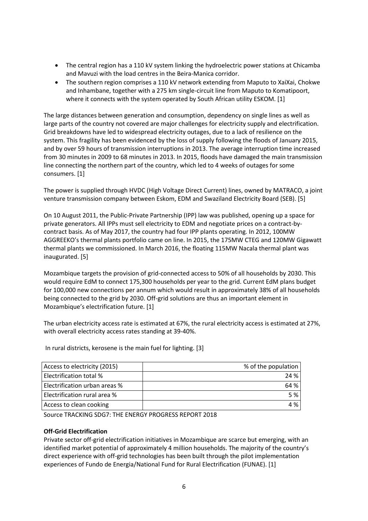- The central region has a 110 kV system linking the hydroelectric power stations at Chicamba and Mavuzi with the load centres in the Beira-Manica corridor.
- • The southern region comprises a 110 kV network extending from Maputo to XaiXai, Chokwe and Inhambane, together with a 275 km single-circuit line from Maputo to Komatipoort, where it connects with the system operated by South African utility ESKOM. [\[1\]](#page-37-1)

 Grid breakdowns have led to widespread electricity outages, due to a lack of resilience on the from 30 minutes in 2009 to 68 minutes in 2013. In 2015, floods have damaged the main transmission The large distances between generation and consumption, dependency on single lines as well as large parts of the country not covered are major challenges for electricity supply and electrification. system. This fragility has been evidenced by the loss of supply following the floods of January 2015, and by over 59 hours of transmission interruptions in 2013. The average interruption time increased line connecting the northern part of the country, which led to 4 weeks of outages for some consumers. [\[1\]](#page-37-1)

The power is supplied through HVDC (High Voltage Direct Current) lines, owned by MATRACO, a joint venture transmission company between Eskom, EDM and Swaziland Electricity Board (SEB). [\[5\]](#page-37-1)

On 10 August 2011, the Public-Private Partnership (IPP) law was published, opening up a space for private generators. All IPPs must sell electricity to EDM and negotiate prices on a contract-bycontract basis. As of May 2017, the country had four IPP plants operating. In 2012, 100MW AGGREEKO's thermal plants portfolio came on line. In 2015, the 175MW CTEG and 120MW Gigawatt thermal plants we commissioned. In March 2016, the floating 115MW Nacala thermal plant was inaugurated. [[5](#page-37-1)]

 for 100,000 new connections per annum which would result in approximately 38% of all households Mozambique targets the provision of grid-connected access to 50% of all households by 2030. This would require EdM to connect 175,300 households per year to the grid. Current EdM plans budget being connected to the grid by 2030. Off-grid solutions are thus an important element in Mozambique's electrification future. [\[1\]](#page-37-1)

The urban electricity access rate is estimated at 67%, the rural electricity access is estimated at 27%, with overall electricity access rates standing at 39-40%.

In rural districts, kerosene is the main fuel for lighting. [[3](#page-37-1)]

| Access to electricity (2015)   | % of the population |
|--------------------------------|---------------------|
| <b>Electrification total %</b> | 24 %                |
| Electrification urban areas %  | 64 %                |
| Electrification rural area %   | 5%                  |
| Access to clean cooking        | 4 %                 |

Source TRACKING SDG7: THE ENERGY PROGRESS REPORT 2018

#### **Off-Grid Electrification**

 identified market potential of approximately 4 million households. The majority of the country's Private sector off-grid electrification initiatives in Mozambique are scarce but emerging, with an direct experience with off-grid technologies has been built through the pilot implementation experiences of Fundo de Energia/National Fund for Rural Electrification (FUNAE). [[1](#page-37-1)]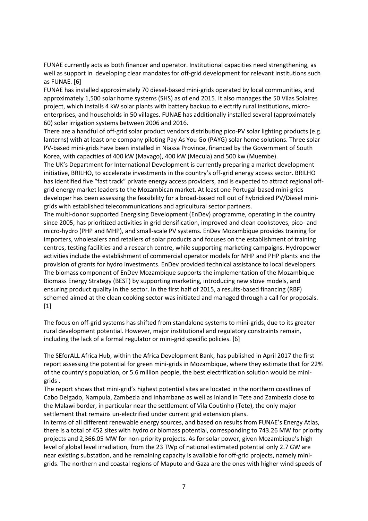FUNAE currently acts as both financer and operator. Institutional capacities need strengthening, as well as support in developing clear mandates for off-grid development for relevant institutions such as FUNAE. [[6](#page-37-1)]

 approximately 1,500 solar home systems (SHS) as of end 2015. It also manages the 50 Vilas Solaires FUNAE has installed approximately 70 diesel-based mini-grids operated by local communities, and project, which installs 4 kW solar plants with battery backup to electrify rural institutions, microenterprises, and households in 50 villages. FUNAE has additionally installed several (approximately 60) solar irrigation systems between 2006 and 2016.

There are a handful of off-grid solar product vendors distributing pico-PV solar lighting products (e.g. lanterns) with at least one company piloting Pay As You Go (PAYG) solar home solutions. Three solar PV-based mini-grids have been installed in Niassa Province, financed by the Government of South Korea, with capacities of 400 kW (Mavago), 400 kW (Mecula) and 500 kw (Muembe).

 grid energy market leaders to the Mozambican market. At least one Portugal-based mini-grids The UK's Department for International Development is currently preparing a market development initiative, BRILHO, to accelerate investments in the country's off-grid energy access sector. BRILHO has identified five "fast track" private energy access providers, and is expected to attract regional offdeveloper has been assessing the feasibility for a broad-based roll out of hybridized PV/Diesel minigrids with established telecommunications and agricultural sector partners.

The multi-donor supported Energising Development (EnDev) programme, operating in the country since 2005, has prioritized activities in grid densification, improved and clean cookstoves, pico- and micro-hydro (PHP and MHP), and small-scale PV systems. EnDev Mozambique provides training for importers, wholesalers and retailers of solar products and focuses on the establishment of training centres, testing facilities and a research centre, while supporting marketing campaigns. Hydropower activities include the establishment of commercial operator models for MHP and PHP plants and the provision of grants for hydro investments. EnDev provided technical assistance to local developers. The biomass component of EnDev Mozambique supports the implementation of the Mozambique Biomass Energy Strategy (BEST) by supporting marketing, introducing new stove models, and ensuring product quality in the sector. In the first half of 2015, a results-based financing (RBF) schemed aimed at the clean cooking sector was initiated and managed through a call for proposals. [1]

The focus on off-grid systems has shifted from standalone systems to mini-grids, due to its greater rural development potential. However, major institutional and regulatory constraints remain, including the lack of a formal regulator or mini-grid specific policies. [[6](#page-37-1)]

The SEforALL Africa Hub, within the Africa Development Bank, has published in April 2017 the first report assessing the potential for green mini-grids in Mozambique, where they estimate that for 22% of the country's population, or 5.6 million people, the best electrification solution would be minigrids .

The report shows that mini-grid's highest potential sites are located in the northern coastlines of Cabo Delgado, Nampula, Zambezia and Inhambane as well as inland in Tete and Zambezia close to the Malawi border, in particular near the settlement of Vila Coutinho (Tete), the only major settlement that remains un-electrified under current grid extension plans.

 there is a total of 452 sites with hydro or biomass potential, corresponding to 743.26 MW for priority projects and [2,366.05](http:2,366.05) MW for non-priority projects. As for solar power, given Mozambique's high In terms of all different renewable energy sources, and based on results from FUNAE's Energy Atlas, level of global level irradiation, from the 23 TWp of national estimated potential only 2.7 GW are near existing substation, and he remaining capacity is available for off-grid projects, namely minigrids. The northern and coastal regions of Maputo and Gaza are the ones with higher wind speeds of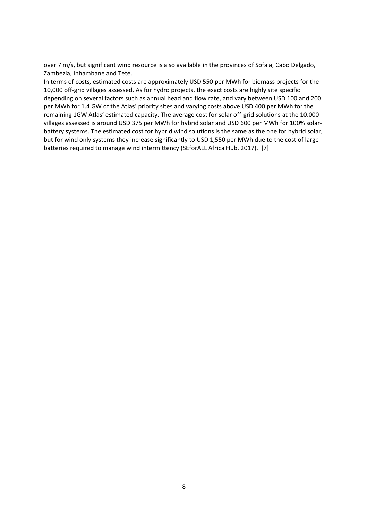over 7 m/s, but significant wind resource is also available in the provinces of Sofala, Cabo Delgado, Zambezia, Inhambane and Tete.

 depending on several factors such as annual head and flow rate, and vary between USD 100 and 200 In terms of costs, estimated costs are approximately USD 550 per MWh for biomass projects for the 10,000 off-grid villages assessed. As for hydro projects, the exact costs are highly site specific per MWh for 1.4 GW of the Atlas' priority sites and varying costs above USD 400 per MWh for the remaining 1GW Atlas' estimated capacity. The average cost for solar off-grid solutions at the 10.000 villages assessed is around USD 375 per MWh for hybrid solar and USD 600 per MWh for 100% solarbattery systems. The estimated cost for hybrid wind solutions is the same as the one for hybrid solar, but for wind only systems they increase significantly to USD 1,550 per MWh due to the cost of large batteries required to manage wind intermittency (SEforALL Africa Hub, 20[17\)](#page-37-1). [7]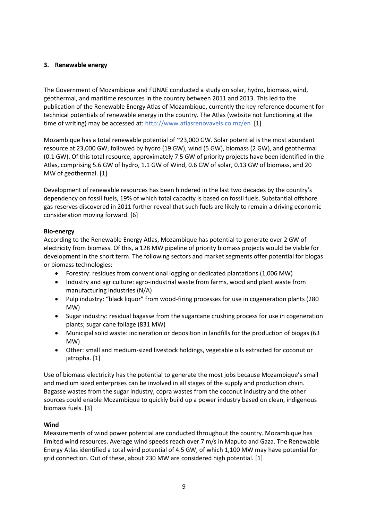#### <span id="page-10-0"></span>**3. Renewable energy**

The Government of Mozambique and FUNAE conducted a study on solar, hydro, biomass, wind, geothermal, and maritime resources in the country between 2011 and 2013. This led to the publication of the Renewable Energy Atlas of Mozambique, currently the key reference document for technical potentials of renewable energy in the country. The Atlas (website not functioning at the time of writing) may be accessed at[: http://www.atlasrenovaveis.co.mz/en](http://www.atlasrenovaveis.co.mz/en) [\[1](#page-37-1)]

 Atlas, comprising 5.6 GW of hydro, 1.1 GW of Wind, 0.6 GW of solar, 0.13 GW of biomass, and 20 Mozambique has a total renewable potential of ~23,000 GW. Solar potential is the most abundant resource at 23,000 GW, followed by hydro (19 GW), wind (5 GW), biomass (2 GW), and geothermal (0.1 GW). Of this total resource, approximately 7.5 GW of priority projects have been identified in the MW of geothermal. [[1](#page-37-1)]

Development of renewable resources has been hindered in the last two decades by the country's dependency on fossil fuels, 19% of which total capacity is based on fossil fuels. Substantial offshore gas reserves discovered in 2011 further reveal that such fuels are likely to remain a driving economic consideration moving forward. [\[6](#page-37-1)]

#### **Bio-energy**

According to the Renewable Energy Atlas, Mozambique has potential to generate over 2 GW of electricity from biomass. Of this, a 128 MW pipeline of priority biomass projects would be viable for development in the short term. The following sectors and market segments offer potential for biogas or biomass technologies:

- Forestry: residues from conventional logging or dedicated plantations (1,006 MW)
- Industry and agriculture: agro-industrial waste from farms, wood and plant waste from manufacturing industries (N/A)
- • Pulp industry: "black liquor" from wood-firing processes for use in cogeneration plants (280 MW)
- Sugar industry: residual bagasse from the sugarcane crushing process for use in cogeneration plants; sugar cane foliage (831 MW)
- Municipal solid waste: incineration or deposition in landfills for the production of biogas (63 MW)
- Other: small and medium-sized livestock holdings, vegetable oils extracted for coconut or jatropha. [[1](#page-37-1)]

Use of biomass electricity has the potential to generate the most jobs because Mozambique's small and medium sized enterprises can be involved in all stages of the supply and production chain. Bagasse wastes from the sugar industry, copra wastes from the coconut industry and the other sources could enable Mozambique to quickly build up a power industry based on clean, indigenous biomass fuels. [\[3\]](#page-37-1)

#### **Wind**

 Energy Atlas identified a total wind potential of 4.5 GW, of which 1,100 MW may have potential for Measurements of wind power potential are conducted throughout the country. Mozambique has limited wind resources. Average wind speeds reach over 7 m/s in Maputo and Gaza. The Renewable grid connection. Out of these, about 230 MW are considered high potential. [\[1](#page-37-1)]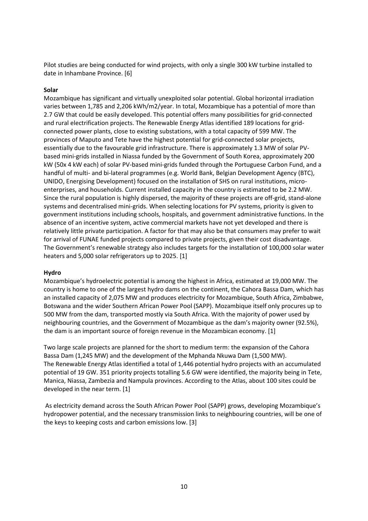date in Inhambane Province. [[6](#page-37-1)]

#### **Solar**

 varies between 1,785 and 2,206 kWh/m2/year. In total, Mozambique has a potential of more than essentially due to the favourable grid infrastructure. There is approximately 1.3 MW of solar PV- The Government's renewable strategy also includes targets for the installation of 100,000 solar water Pilot studies are being conducted for wind projects, with only a single 300 kW turbine installed to<br>
date in Inhambane Province. [6]<br>
Solar<br>
Solar<br>
Solar<br>
Solar<br>
Solar<br>
Solar<br>
Solar<br>
Solar<br>
Solar<br>
Nozambique has significan Mozambique has significant and virtually unexploited solar potential. Global horizontal irradiation 2.7 GW that could be easily developed. This potential offers many possibilities for grid-connected and rural electrification projects. The Renewable Energy Atlas identified 189 locations for gridconnected power plants, close to existing substations, with a total capacity of 599 MW. The provinces of Maputo and Tete have the highest potential for grid-connected solar projects, based mini-grids installed in Niassa funded by the Government of South Korea, approximately 200 kW (50x 4 kW each) of solar PV-based mini-grids funded through the Portuguese Carbon Fund, and a handful of multi- and bi-lateral programmes (e.g. World Bank, Belgian Development Agency (BTC), UNIDO, Energising Development) focused on the installation of SHS on rural institutions, microenterprises, and households. Current installed capacity in the country is estimated to be 2.2 MW. Since the rural population is highly dispersed, the majority of these projects are off-grid, stand-alone systems and decentralised mini-grids. When selecting locations for PV systems, priority is given to government institutions including schools, hospitals, and government administrative functions. In the absence of an incentive system, active commercial markets have not yet developed and there is relatively little private participation. A factor for that may also be that consumers may prefer to wait for arrival of FUNAE funded projects compared to private projects, given their cost disadvantage. heaters and 5,000 solar refrigerators up to 2025. [\[1\]](#page-37-1)

#### **Hydro**

 an installed capacity of 2,075 MW and produces electricity for Mozambique, South Africa, Zimbabwe, Botswana and the wider Southern African Power Pool (SAPP). Mozambique itself only procures up to 500 MW from the dam, transported mostly via South Africa. With the majority of power used by Mozambique's hydroelectric potential is among the highest in Africa, estimated at 19,000 MW. The country is home to one of the largest hydro dams on the continent, the Cahora Bassa Dam, which has neighbouring countries, and the Government of Mozambique as the dam's majority owner (92.5%), the dam is an important source of foreign revenue in the Mozambican economy. [\[1\]](#page-37-1)

Two large scale projects are planned for the short to medium term: the expansion of the Cahora Bassa Dam (1,245 MW) and the development of the Mphanda Nkuwa Dam (1,500 MW). The Renewable Energy Atlas identified a total of 1,446 potential hydro projects with an accumulated potential of 19 GW. 351 priority projects totalling 5.6 GW were identified, the majority being in Tete, Manica, Niassa, Zambezia and Nampula provinces. According to the Atlas, about 100 sites could be developed in the near term. [[1](#page-37-1)]

As electricity demand across the South African Power Pool (SAPP) grows, developing Mozambique's hydropower potential, and the necessary transmission links to neighbouring countries, will be one of the keys to keeping costs and carbon emissions low. [\[3](#page-37-1)]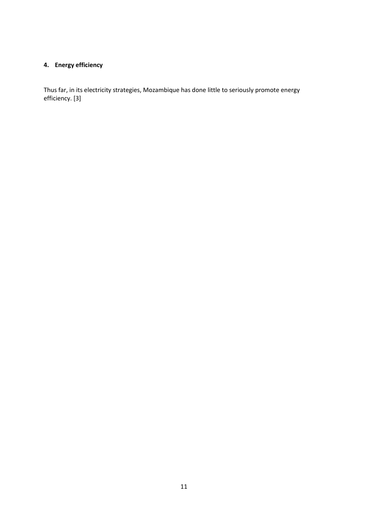## <span id="page-12-0"></span>**4. Energy efficiency**

 Thus far, in its electricity strategies, Mozambique has done little to seriously promote energy efficiency. [\[3\]](#page-37-1)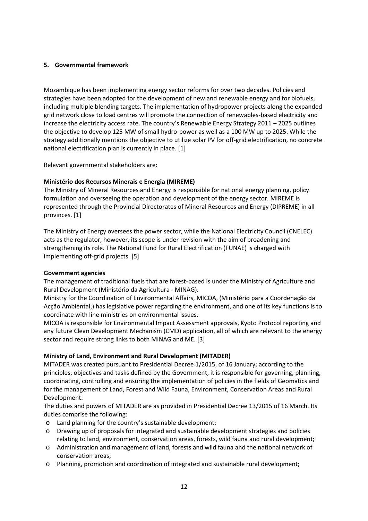#### <span id="page-13-0"></span>**5. Governmental framework**

 increase the electricity access rate. The country's Renewable Energy Strategy 2011 – 2025 outlines Mozambique has been implementing energy sector reforms for over two decades. Policies and strategies have been adopted for the development of new and renewable energy and for biofuels, including multiple blending targets. The implementation of hydropower projects along the expanded grid network close to load centres will promote the connection of renewables-based electricity and the objective to develop 125 MW of small hydro-power as well as a 100 MW up to 2025. While the strategy additionally mentions the objective to utilize solar PV for off-grid electrification, no concrete national electrification plan is currently in place. [[1](#page-37-1)]

Relevant governmental stakeholders are:

#### **Ministério dos Recursos Minerais e Energia (MIREME)**

The Ministry of Mineral Resources and Energy is responsible for national energy planning, policy formulation and overseeing the operation and development of the energy sector. MIREME is represented through the Provincial Directorates of Mineral Resources and Energy (DIPREME) in all provinces. [[1](#page-37-1)]

The Ministry of Energy oversees the power sector, while the National Electricity Council (CNELEC) acts as the regulator, however, its scope is under revision with the aim of broadening and strengthening its role. The National Fund for Rural Electrification (FUNAE) is charged with implementing off-grid projects. [\[5\]](#page-37-1)

#### **Government agencies**

The management of traditional fuels that are forest-based is under the Ministry of Agriculture and Rural Development (Ministério da Agricultura - MINAG).

Ministry for the Coordination of Environmental Affairs, MICOA, (Ministério para a Coordenação da Acção Ambiental,) has legislative power regarding the environment, and one of its key functions is to coordinate with line ministries on environmental issues.

MICOA is responsible for Environmental Impact Assessment approvals, Kyoto Protocol reporting and any future Clean Development Mechanism (CMD) application, all of which are relevant to the energy sector and require strong links to both MINAG and ME. [[3](#page-37-1)]

#### **Ministry of Land, Environment and Rural Development (MITADER)**

MITADER was created pursuant to Presidential Decree 1/2015, of 16 January; according to the principles, objectives and tasks defined by the Government, it is responsible for governing, planning, coordinating, controlling and ensuring the implementation of policies in the fields of Geomatics and for the management of Land, Forest and Wild Fauna, Environment, Conservation Areas and Rural Development.

 The duties and powers of MITADER are as provided in Presidential Decree 13/2015 of 16 March. Its duties comprise the following:

- o Land planning for the country's sustainable development;
- o Drawing up of proposals for integrated and sustainable development strategies and policies relating to land, environment, conservation areas, forests, wild fauna and rural development;
- o Administration and management of land, forests and wild fauna and the national network of conservation areas;
- o Planning, promotion and coordination of integrated and sustainable rural development;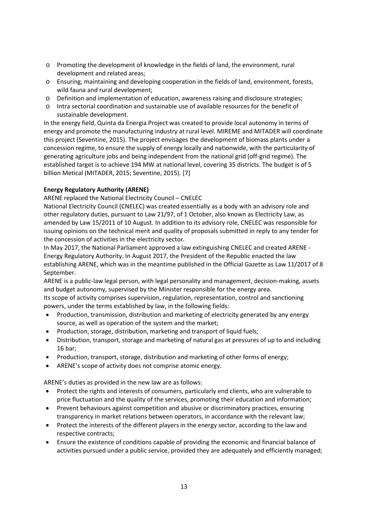- o Promoting the development of knowledge in the fields of land, the environment, rural development and related areas;
- o Ensuring, maintaining and developing cooperation in the fields of land, environment, forests, wild fauna and rural development;
- o Definition and implementation of education, awareness raising and disclosure strategies;
- o Intra sectorial coordination and sustainable use of available resources for the benefit of sustainable development.

 energy and promote the manufacturing industry at rural level. MIREME and MITADER will coordinate In the energy field, Quinta da Energia Project was created to provide local autonomy in terms of this project (Seventine, 2015). The project envisages the development of biomass plants under a concession regime, to ensure the supply of energy locally and nationwide, with the particularity of generating agriculture jobs and being independent from the national grid (off-grid regime). The established target is to achieve 194 MW at national level, covering 35 districts. The budget is of 5 billion Metical (MITADER, 2015; Seventine, 2015). [\[7\]](#page-37-1)

### **Energy Regulatory Authority (ARENE)**

ARENE replaced the National Electricity Council – CNELEC

National Electricity Council (CNELEC) was created essentially as a body with an advisory role and other regulatory duties, pursuant to Law 21/97, of 1 October, also known as Electricity Law, as amended by Law 15/2011 of 10 August. In addition to its advisory role, CNELEC was responsible for issuing opinions on the technical merit and quality of proposals submitted in reply to any tender for the concession of activities in the electricity sector.

 establishing ARENE, which was in the meantime published in the Official Gazette as Law 11/2017 of 8 In May 2017, the National Parliament approved a law extinguishing CNELEC and created ARENE - Energy Regulatory Authority. In August 2017, the President of the Republic enacted the law September.

ARENE is a public-law legal person, with legal personality and management, decision-making, assets and budget autonomy, supervised by the Minister responsible for the energy area.

Its scope of activity comprises supervision, regulation, representation, control and sanctioning powers, under the terms established by law, in the following fields:

- • Production, transmission, distribution and marketing of electricity generated by any energy source, as well as operation of the system and the market;
- Production, storage, distribution, marketing and transport of liquid fuels;
- Distribution, transport, storage and marketing of natural gas at pressures of up to and including 16 bar;
- Production, transport, storage, distribution and marketing of other forms of energy;
- ARENE's scope of activity does not comprise atomic energy.

ARENE's duties as provided in the new law are as follows:

- Protect the rights and interests of consumers, particularly end clients, who are vulnerable to price fluctuation and the quality of the services, promoting their education and information;
- • Prevent behaviours against competition and abusive or discriminatory practices, ensuring transparency in market relations between operators, in accordance with the relevant law;
- • Protect the interests of the different players in the energy sector, according to the law and respective contracts;
- Ensure the existence of conditions capable of providing the economic and financial balance of activities pursued under a public service, provided they are adequately and efficiently managed;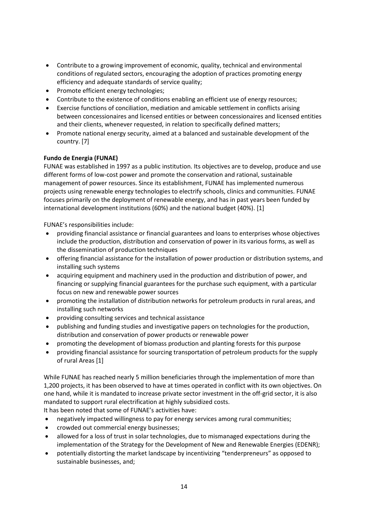- Contribute to a growing improvement of economic, quality, technical and environmental conditions of regulated sectors, encouraging the adoption of practices promoting energy efficiency and adequate standards of service quality;
- Promote efficient energy technologies;
- Contribute to the existence of conditions enabling an efficient use of energy resources;
- Exercise functions of conciliation, mediation and amicable settlement in conflicts arising between concessionaires and licensed entities or between concessionaires and licensed entities and their clients, whenever requested, in relation to specifically defined matters;
- Promote national energy security, aimed at a balanced and sustainable development of the country. [\[7](#page-37-1)]

#### **Fundo de Energia (FUNAE)**

 FUNAE was established in 1997 as a public institution. Its objectives are to develop, produce and use different forms of low-cost power and promote the conservation and rational, sustainable management of power resources. Since its establishment, FUNAE has implemented numerous projects using renewable energy technologies to electrify schools, clinics and communities. FUNAE focuses primarily on the deployment of renewable energy, and has in past years been funded by international development institutions (60%) and the national budget (40%). [[1](#page-37-1)]

FUNAE's responsibilities include:

- providing financial assistance or financial guarantees and loans to enterprises whose objectives include the production, distribution and conservation of power in its various forms, as well as the dissemination of production techniques
- offering financial assistance for the installation of power production or distribution systems, and installing such systems
- acquiring equipment and machinery used in the production and distribution of power, and financing or supplying financial guarantees for the purchase such equipment, with a particular focus on new and renewable power sources
- promoting the installation of distribution networks for petroleum products in rural areas, and installing such networks
- providing consulting services and technical assistance
- publishing and funding studies and investigative papers on technologies for the production, distribution and conservation of power products or renewable power
- promoting the development of biomass production and planting forests for this purpose
- providing financial assistance for sourcing transportation of petroleum products for the supply of rural Areas [[1](#page-37-1)]

While FUNAE has reached nearly 5 million beneficiaries through the implementation of more than 1,200 projects, it has been observed to have at times operated in conflict with its own objectives. On one hand, while it is mandated to increase private sector investment in the off-grid sector, it is also mandated to support rural electrification at highly subsidized costs. It has been noted that some of FUNAE's activities have:

• negatively impacted willingness to pay for energy services among rural communities;

- crowded out commercial energy businesses;
- allowed for a loss of trust in solar technologies, due to mismanaged expectations during the implementation of the Strategy for the Development of New and Renewable Energies (EDENR);
- potentially distorting the market landscape by incentivizing "tenderpreneurs" as opposed to sustainable businesses, and;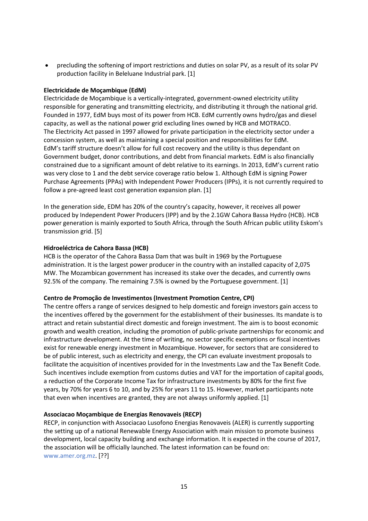• precluding the softening of import restrictions and duties on solar PV, as a result of its solar PV production facility in Beleluane Industrial park. [[1](#page-37-1)]

#### **Electricidade de Moçambique (EdM)**

Electricidade de Moçambique is a vertically-integrated, government-owned electricity utility responsible for generating and transmitting electricity, and distributing it through the national grid. Founded in 1977, EdM buys most of its power from HCB. EdM currently owns hydro/gas and diesel capacity, as well as the national power grid excluding lines owned by HCB and MOTRACO. The Electricity Act passed in 1997 allowed for private participation in the electricity sector under a concession system, as well as maintaining a special position and responsibilities for EdM. EdM's tariff structure doesn't allow for full cost recovery and the utility is thus dependant on Government budget, donor contributions, and debt from financial markets. EdM is also financially constrained due to a significant amount of debt relative to its earnings. In 2013, EdM's current ratio was very close to 1 and the debt service coverage ratio below 1. Although EdM is signing Power Purchase Agreements (PPAs) with Independent Power Producers (IPPs), it is not currently required to follow a pre-agreed least cost generation expansion plan. [[1](#page-37-1)]

In the generation side, EDM has 20% of the country's capacity, however, it receives all power produced by Independent Power Producers (IPP) and by the 2.1GW Cahora Bassa Hydro (HCB). HCB power generation is mainly exported to South Africa, through the South African public utility Eskom's transmission grid. [\[5\]](#page-37-1)

#### **Hidroeléctrica de Cahora Bassa (HCB)**

 administration. It is the largest power producer in the country with an installed capacity of 2,075 HCB is the operator of the Cahora Bassa Dam that was built in 1969 by the Portuguese MW. The Mozambican government has increased its stake over the decades, and currently owns 92.5% of the company. The remaining 7.5% is owned by the Portuguese government. [\[1\]](#page-37-1)

#### **Centro de Promoção de Investimentos (Investment Promotion Centre, CPI)**

 The centre offers a range of services designed to help domestic and foreign investors gain access to the incentives offered by the government for the establishment of their businesses. Its mandate is to attract and retain substantial direct domestic and foreign investment. The aim is to boost economic growth and wealth creation, including the promotion of public-private partnerships for economic and infrastructure development. At the time of writing, no sector specific exemptions or fiscal incentives exist for renewable energy investment in Mozambique. However, for sectors that are considered to be of public interest, such as electricity and energy, the CPI can evaluate investment proposals to facilitate the acquisition of incentives provided for in the Investments Law and the Tax Benefit Code. Such incentives include exemption from customs duties and VAT for the importation of capital goods, a reduction of the Corporate Income Tax for infrastructure investments by 80% for the first five years, by 70% for years 6 to 10, and by 25% for years 11 to 15. However, market participants note that even when incentives are granted, they are not always uniformly applied. [\[1](#page-37-1)]

#### **Associacao Moçambique de Energias Renovaveis (RECP)**

 the association will be officially launched. The latest information can be found on: RECP, in conjunction with Associacao Lusofono Energias Renovaveis (ALER) is currently supporting the setting up of a national Renewable Energy Association with main mission to promote business development, local capacity building and exchange information. It is expected in the course of 2017, [www.amer.org.mz.](http://www.amer.org.mz/) [??]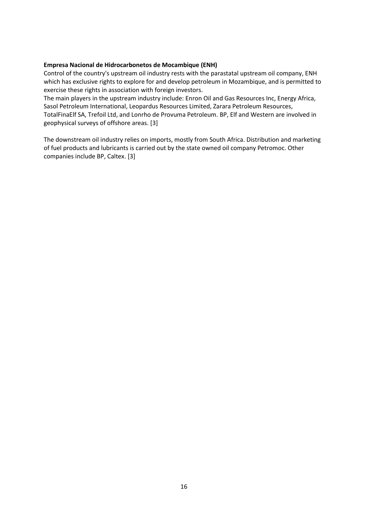#### **Empresa Nacional de Hidrocarbonetos de Mocambique (ENH)**

Control of the country's upstream oil industry rests with the parastatal upstream oil company, ENH which has exclusive rights to explore for and develop petroleum in Mozambique, and is permitted to exercise these rights in association with foreign investors.

The main players in the upstream industry include: Enron Oil and Gas Resources Inc, Energy Africa, Sasol Petroleum International, Leopardus Resources Limited, Zarara Petroleum Resources, TotalFinaElf SA, Trefoil Ltd, and Lonrho de Provuma Petroleum. BP, Elf and Western are involved in geophysical surveys of offshore areas. [[3](#page-37-1)]

 The downstream oil industry relies on imports, mostly from South Africa. Distribution and marketing of fuel products and lubricants is carried out by the state owned oil company Petromoc. Other companies include BP, Caltex. [[3\]](#page-37-1)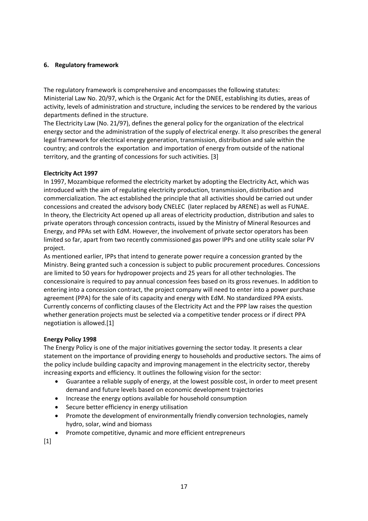#### <span id="page-18-0"></span>**6. Regulatory framework**

The regulatory framework is comprehensive and encompasses the following statutes: Ministerial Law No. 20/97, which is the Organic Act for the DNEE, establishing its duties, areas of activity, levels of administration and structure, including the services to be rendered by the various departments defined in the structure.

The Electricity Law (No. 21/97), defines the general policy for the organization of the electrical energy sector and the administration of the supply of electrical energy. It also prescribes the general legal framework for electrical energy generation, transmission, distribution and sale within the country; and controls the exportation and importation of energy from outside of the national territory, and the granting of concessions for such activities. [[3](#page-37-1)]

#### **Electricity Act 1997**

 In 1997, Mozambique reformed the electricity market by adopting the Electricity Act, which was private operators through concession contracts, issued by the Ministry of Mineral Resources and introduced with the aim of regulating electricity production, transmission, distribution and commercialization. The act established the principle that all activities should be carried out under concessions and created the advisory body CNELEC (later replaced by ARENE) as well as FUNAE. In theory, the Electricity Act opened up all areas of electricity production, distribution and sales to Energy, and PPAs set with EdM. However, the involvement of private sector operators has been limited so far, apart from two recently commissioned gas power IPPs and one utility scale solar PV project.

 are limited to 50 years for hydropower projects and 25 years for all other technologies. The concessionaire is required to pay annual concession fees based on its gross revenues. In addition to entering into a concession contract, the project company will need to enter into a power purchase As mentioned earlier, IPPs that intend to generate power require a concession granted by the Ministry. Being granted such a concession is subject to public procurement procedures. Concessions agreement (PPA) for the sale of its capacity and energy with EdM. No standardized PPA exists. Currently concerns of conflicting clauses of the Electricity Act and the PPP law raises the question whether generation projects must be selected via a competitive tender process or if direct PPA negotiation is allowed.[1]

#### **Energy Policy 1998**

The Energy Policy is one of the major initiatives governing the sector today. It presents a clear statement on the importance of providing energy to households and productive sectors. The aims of the policy include building capacity and improving management in the electricity sector, thereby increasing exports and efficiency. It outlines the following vision for the sector:

- Guarantee a reliable supply of energy, at the lowest possible cost, in order to meet present demand and future levels based on economic development trajectories
- Increase the energy options available for household consumption
- Secure better efficiency in energy utilisation
- Promote the development of environmentally friendly conversion technologies, namely hydro, solar, wind and biomass
- Promote competitive, dynamic and more efficient entrepreneurs

[1]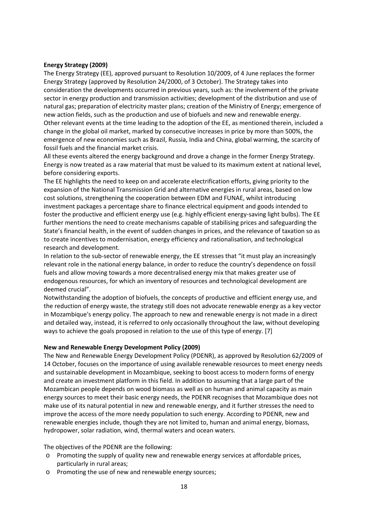#### **Energy Strategy (2009)**

The Energy Strategy (EE), approved pursuant to Resolution 10/2009, of 4 June replaces the former Energy Strategy (approved by Resolution 24/2000, of 3 October). The Strategy takes into consideration the developments occurred in previous years, such as: the involvement of the private sector in energy production and transmission activities; development of the distribution and use of natural gas; preparation of electricity master plans; creation of the Ministry of Energy; emergence of new action fields, such as the production and use of biofuels and new and renewable energy. Other relevant events at the time leading to the adoption of the EE, as mentioned therein, included a change in the global oil market, marked by consecutive increases in price by more than 500%, the emergence of new economies such as Brazil, Russia, India and China, global warming, the scarcity of fossil fuels and the financial market crisis.

All these events altered the energy background and drove a change in the former Energy Strategy. Energy is now treated as a raw material that must be valued to its maximum extent at national level, before considering exports.

The EE highlights the need to keep on and accelerate electrification efforts, giving priority to the expansion of the National Transmission Grid and alternative energies in rural areas, based on low cost solutions, strengthening the cooperation between EDM and FUNAE, whilst introducing investment packages a percentage share to finance electrical equipment and goods intended to foster the productive and efficient energy use (e.g. highly efficient energy-saving light bulbs). The EE further mentions the need to create mechanisms capable of stabilising prices and safeguarding the State's financial health, in the event of sudden changes in prices, and the relevance of taxation so as to create incentives to modernisation, energy efficiency and rationalisation, and technological research and development.

 fuels and allow moving towards a more decentralised energy mix that makes greater use of In relation to the sub-sector of renewable energy, the EE stresses that "it must play an increasingly relevant role in the national energy balance, in order to reduce the country's dependence on fossil endogenous resources, for which an inventory of resources and technological development are deemed crucial".

 the reduction of energy waste, the strategy still does not advocate renewable energy as a key vector ways to achieve the goals proposed in relation to the use of this type of energy. [\[7\]](#page-37-1) Notwithstanding the adoption of biofuels, the concepts of productive and efficient energy use, and in Mozambique's energy policy. The approach to new and renewable energy is not made in a direct and detailed way, instead, it is referred to only occasionally throughout the law, without developing

#### **New and Renewable Energy Development Policy (2009)**

 energy sources to meet their basic energy needs, the PDENR recognises that Mozambique does not The New and Renewable Energy Development Policy (PDENR), as approved by Resolution 62/2009 of 14 October, focuses on the importance of using available renewable resources to meet energy needs and sustainable development in Mozambique, seeking to boost access to modern forms of energy and create an investment platform in this field. In addition to assuming that a large part of the Mozambican people depends on wood biomass as well as on human and animal capacity as main make use of its natural potential in new and renewable energy, and it further stresses the need to improve the access of the more needy population to such energy. According to PDENR, new and renewable energies include, though they are not limited to, human and animal energy, biomass, hydropower, solar radiation, wind, thermal waters and ocean waters.

The objectives of the PDENR are the following:

- o Promoting the supply of quality new and renewable energy services at affordable prices, particularly in rural areas;
- o Promoting the use of new and renewable energy sources;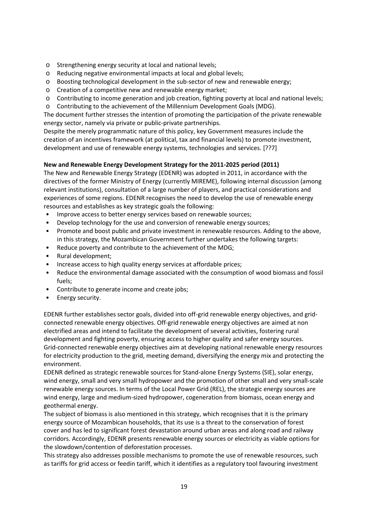- o Strengthening energy security at local and national levels;
- o Reducing negative environmental impacts at local and global levels;
- o Boosting technological development in the sub-sector of new and renewable energy;
- o Creation of a competitive new and renewable energy market;
- o Contributing to income generation and job creation, fighting poverty at local and national levels;
- o Contributing to the achievement of the Millennium Development Goals (MDG).

The document further stresses the intention of promoting the participation of the private renewable energy sector, namely via private or public-private partnerships.

Despite the merely programmatic nature of this policy, key Government measures include the creation of an incentives framework (at political, tax and financial levels) to promote investment, development and use of renewable energy systems, technologies and services. [??7]

#### **New and Renewable Energy Development Strategy for the 2011-2025 period (2011)**

The New and Renewable Energy Strategy (EDENR) was adopted in 2011, in accordance with the directives of the former Ministry of Energy (currently MIREME), following internal discussion (among relevant institutions), consultation of a large number of players, and practical considerations and experiences of some regions. EDENR recognises the need to develop the use of renewable energy resources and establishes as key strategic goals the following:

- Improve access to better energy services based on renewable sources;
- Develop technology for the use and conversion of renewable energy sources;
- Promote and boost public and private investment in renewable resources. Adding to the above, in this strategy, the Mozambican Government further undertakes the following targets:
- Reduce poverty and contribute to the achievement of the MDG;
- Rural development;
- Increase access to high quality energy services at affordable prices;
- Reduce the environmental damage associated with the consumption of wood biomass and fossil fuels;
- Contribute to generate income and create jobs;
- Energy security.

 Grid-connected renewable energy objectives aim at developing national renewable energy resources EDENR further establishes sector goals, divided into off-grid renewable energy objectives, and gridconnected renewable energy objectives. Off-grid renewable energy objectives are aimed at non electrified areas and intend to facilitate the development of several activities, fostering rural development and fighting poverty, ensuring access to higher quality and safer energy sources. for electricity production to the grid, meeting demand, diversifying the energy mix and protecting the environment.

EDENR defined as strategic renewable sources for Stand-alone Energy Systems (SIE), solar energy, wind energy, small and very small hydropower and the promotion of other small and very small-scale renewable energy sources. In terms of the Local Power Grid (REL), the strategic energy sources are wind energy, large and medium-sized hydropower, cogeneration from biomass, ocean energy and geothermal energy.

The subject of biomass is also mentioned in this strategy, which recognises that it is the primary energy source of Mozambican households, that its use is a threat to the conservation of forest cover and has led to significant forest devastation around urban areas and along road and railway corridors. Accordingly, EDENR presents renewable energy sources or electricity as viable options for the slowdown/contention of deforestation processes.

This strategy also addresses possible mechanisms to promote the use of renewable resources, such as tariffs for grid access or feedin tariff, which it identifies as a regulatory tool favouring investment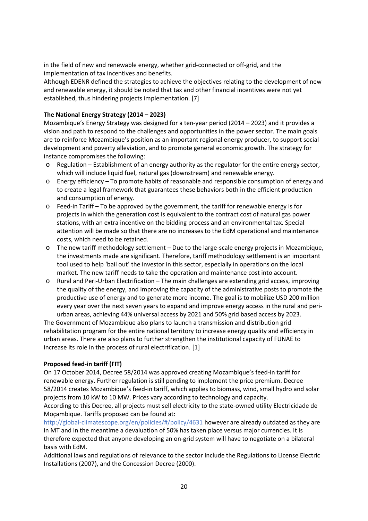in the field of new and renewable energy, whether grid-connected or off-grid, and the implementation of tax incentives and benefits.

Although EDENR defined the strategies to achieve the objectives relating to the development of new and renewable energy, it should be noted that tax and other financial incentives were not yet established, thus hindering projects implementation. [\[7\]](#page-37-1)

#### **The National Energy Strategy (2014 – 2023)**

 vision and path to respond to the challenges and opportunities in the power sector. The main goals Mozambique's Energy Strategy was designed for a ten-year period (2014 – 2023) and it provides a are to reinforce Mozambique's position as an important regional energy producer, to support social development and poverty alleviation, and to promote general economic growth. The strategy for instance compromises the following:

- o Regulation Establishment of an energy authority as the regulator for the entire energy sector, which will include liquid fuel, natural gas (downstream) and renewable energy.
- o Energy efficiency To promote habits of reasonable and responsible consumption of energy and to create a legal framework that guarantees these behaviors both in the efficient production and consumption of energy.
- attention will be made so that there are no increases to the EdM operational and maintenance o Feed-in Tariff – To be approved by the government, the tariff for renewable energy is for projects in which the generation cost is equivalent to the contract cost of natural gas power stations, with an extra incentive on the bidding process and an environmental tax. Special costs, which need to be retained.
- $\circ$  The new tariff methodology settlement Due to the large-scale energy projects in Mozambique, the investments made are significant. Therefore, tariff methodology settlement is an important tool used to help 'bail out' the investor in this sector, especially in operations on the local market. The new tariff needs to take the operation and maintenance cost into account.
- o Rural and Peri-Urban Electrification The main challenges are extending grid access, improving the quality of the energy, and improving the capacity of the administrative posts to promote the productive use of energy and to generate more income. The goal is to mobilize USD 200 million every year over the next seven years to expand and improve energy access in the rural and periurban areas, achieving 44% universal access by 2021 and 50% grid based access by 2023.

 urban areas. There are also plans to further strengthen the institutional capacity of FUNAE to The Government of Mozambique also plans to launch a transmission and distribution grid rehabilitation program for the entire national territory to increase energy quality and efficiency in increase its role in the process of rural electrification. [[1](#page-37-1)]

#### **Proposed feed-in tariff (FIT)**

 projects from 10 kW to 10 MW. Prices vary according to technology and capacity. On 17 October 2014, Decree 58/2014 was approved creating Mozambique's feed-in tariff for renewable energy. Further regulation is still pending to implement the price premium. Decree 58/2014 creates Mozambique's feed-in tariff, which applies to biomass, wind, small hydro and solar

According to this Decree, all projects must sell electricity to the state-owned utility Electricidade de Moçambique. Tariffs proposed can be found at:

[http://global-climatescope.org/en/policies/#/policy/4631 h](http://global-climatescope.org/en/policies/#/policy/4631)owever are already outdated as they are in MT and in the meantime a devaluation of 50% has taken place versus major currencies. It is therefore expected that anyone developing an on-grid system will have to negotiate on a bilateral basis with EdM.

Additional laws and regulations of relevance to the sector include the Regulations to License Electric Installations (2007), and the Concession Decree (2000).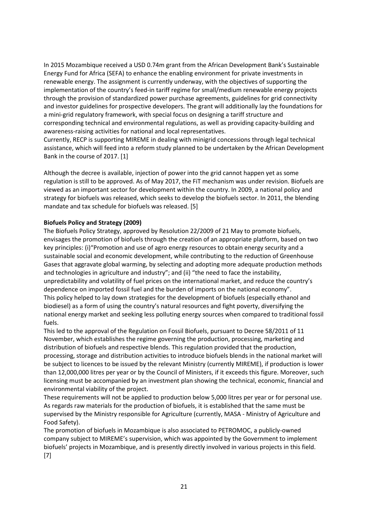In 2015 Mozambique received a USD 0.74m grant from the African Development Bank's Sustainable Energy Fund for Africa (SEFA) to enhance the enabling environment for private investments in renewable energy. The assignment is currently underway, with the objectives of supporting the implementation of the country's feed-in tariff regime for small/medium renewable energy projects through the provision of standardized power purchase agreements, guidelines for grid connectivity and investor guidelines for prospective developers. The grant will additionally lay the foundations for a mini-grid regulatory framework, with special focus on designing a tariff structure and corresponding technical and environmental regulations, as well as providing capacity-building and awareness-raising activities for national and local representatives.

Currently, RECP is supporting MIREME in dealing with minigrid concessions through legal technical assistance, which will feed into a reform study planned to be undertaken by the African Development Bank in the course of 20[1](#page-37-1)7. [1]

Although the decree is available, injection of power into the grid cannot happen yet as some regulation is still to be approved. As of May 2017, the FiT mechanism was under revision. Biofuels are viewed as an important sector for development within the country. In 2009, a national policy and strategy for biofuels was released, which seeks to develop the biofuels sector. In 2011, the blending mandate and tax schedule for biofuels was released. [\[5](#page-37-1)]

#### **Biofuels Policy and Strategy (2009)**

 unpredictability and volatility of fuel prices on the international market, and reduce the country's The Biofuels Policy Strategy, approved by Resolution 22/2009 of 21 May to promote biofuels, envisages the promotion of biofuels through the creation of an appropriate platform, based on two key principles: (i)"Promotion and use of agro energy resources to obtain energy security and a sustainable social and economic development, while contributing to the reduction of Greenhouse Gases that aggravate global warming, by selecting and adopting more adequate production methods and technologies in agriculture and industry"; and (ii) "the need to face the instability, dependence on imported fossil fuel and the burden of imports on the national economy". This policy helped to lay down strategies for the development of biofuels (especially ethanol and biodiesel) as a form of using the country's natural resources and fight poverty, diversifying the national energy market and seeking less polluting energy sources when compared to traditional fossil fuels.

 This led to the approval of the Regulation on Fossil Biofuels, pursuant to Decree 58/2011 of 11 November, which establishes the regime governing the production, processing, marketing and distribution of biofuels and respective blends. This regulation provided that the production, processing, storage and distribution activities to introduce biofuels blends in the national market will be subject to licences to be issued by the relevant Ministry (currently MIREME), if production is lower than 12,000,000 litres per year or by the Council of Ministers, if it exceeds this figure. Moreover, such licensing must be accompanied by an investment plan showing the technical, economic, financial and environmental viability of the project.

These requirements will not be applied to production below 5,000 litres per year or for personal use. As regards raw materials for the production of biofuels, it is established that the same must be supervised by the Ministry responsible for Agriculture (currently, MASA - Ministry of Agriculture and Food Safety).

 company subject to MIREME's supervision, which was appointed by the Government to implement The promotion of biofuels in Mozambique is also associated to PETROMOC, a publicly-owned biofuels' projects in Mozambique, and is presently directly involved in various projects in this field. [7]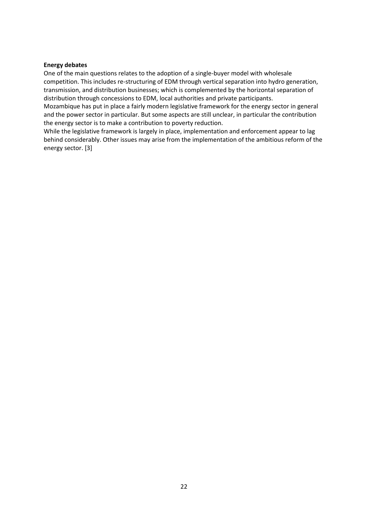#### **Energy debates**

One of the main questions relates to the adoption of a single-buyer model with wholesale competition. This includes re-structuring of EDM through vertical separation into hydro generation, transmission, and distribution businesses; which is complemented by the horizontal separation of distribution through concessions to EDM, local authorities and private participants.

Mozambique has put in place a fairly modern legislative framework for the energy sector in general and the power sector in particular. But some aspects are still unclear, in particular the contribution the energy sector is to make a contribution to poverty reduction.

While the legislative framework is largely in place, implementation and enforcement appear to lag behind considerably. Other issues may arise from the implementation of the ambitious reform of the energy sector. [\[3](#page-37-1)]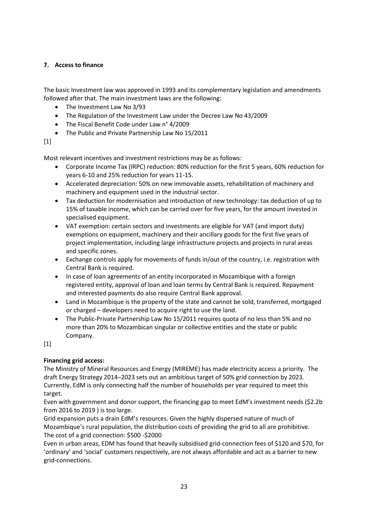The basic Investment law was approved in 1993 and its complementary legislation and amendments followed after that. The main investment laws are the following:

- The Investment Law No 3/93
- The Regulation of the Investment Law under the Decree Law No 43/2009
- The Fiscal Benefit Code under Law n° 4/2009
- The Public and Private Partnership Law No 15/2011

[1]

Most relevant incentives and investment restrictions may be as follows:

- Corporate Income Tax (IRPC) reduction: 80% reduction for the first 5 years, 60% reduction for years 6-10 and 25% reduction for years 11-15.
- Accelerated depreciation: 50% on new immovable assets, rehabilitation of machinery and machinery and equipment used in the industrial sector.
- • Tax deduction for modernisation and introduction of new technology: tax deduction of up to 15% of taxable income, which can be carried over for five years, for the amount invested in specialised equipment.
- VAT exemption: certain sectors and investments are eligible for VAT (and import duty) exemptions on equipment, machinery and their ancillary goods for the first five years of project implementation, including large infrastructure projects and projects in rural areas and specific zones.
- Exchange controls apply for movements of funds in/out of the country, i.e. registration with Central Bank is required.
- In case of loan agreements of an entity incorporated in Mozambique with a foreign registered entity, approval of loan and loan terms by Central Bank is required. Repayment and interested payments do also require Central Bank approval.
- Land in Mozambique is the property of the state and cannot be sold, transferred, mortgaged or charged – developers need to acquire right to use the land.
- more than 20% to Mozambican singular or collective entities and the state or public • The Public-Private Partnership Law No 15/2011 requires quota of no less than 5% and no Company.

 $[1]$ 

#### **Financing grid access:**

<span id="page-24-0"></span>7. Access to finance<br>
The basic Investment law was approved in 1993 and its compler<br>
followed after that. The main investment laws are the following<br>
The Investment Law No 3/93<br>
The Figual Benefit Code under Law n<sup>2</sup> 4/200 The Ministry of Mineral Resources and Energy (MIREME) has made electricity access a priority. The draft Energy Strategy 2014–2023 sets out an ambitious target of 50% grid connection by 2023. Currently, EdM is only connecting half the number of households per year required to meet this target.

 Even with government and donor support, the financing gap to meet EdM's investment needs (\$2.2b from 2016 to 2019 ) is too large.

 The cost of a grid connection: \$500 -\$2000 Grid expansion puts a drain EdM's resources. Given the highly dispersed nature of much of Mozambique's rural population, the distribution costs of providing the grid to all are prohibitive.

Even in urban areas, EDM has found that heavily subsidised grid-connection fees of \$120 and \$70, for 'ordinary' and 'social' customers respectively, are not always affordable and act as a barrier to new grid-connections.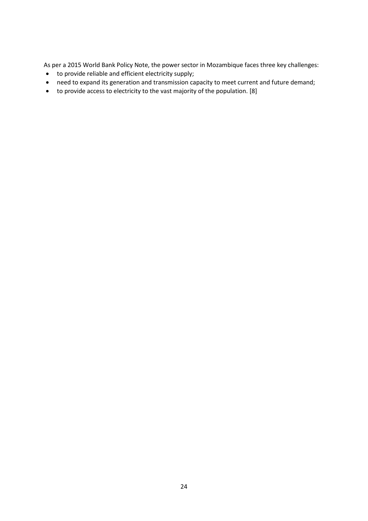As per a 2015 World Bank Policy Note, the power sector in Mozambique faces three key challenges:

- to provide reliable and efficient electricity supply;
- need to expand its generation and transmission capacity to meet current and future demand;
- to provide access to electricity to the vast majority of the population. [\[8\]](#page-37-1)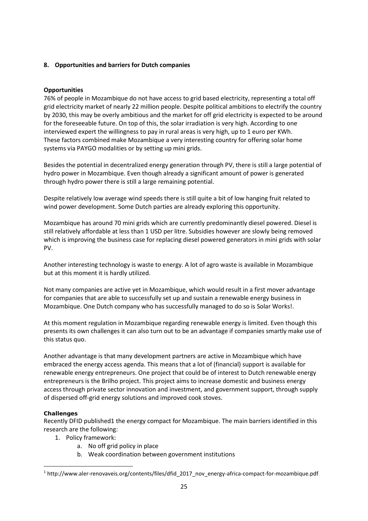#### <span id="page-26-0"></span>**8. Opportunities and barriers for Dutch companies**

#### **Opportunities**

 interviewed expert the willingness to pay in rural areas is very high, up to 1 euro per KWh. 76% of people in Mozambique do not have access to grid based electricity, representing a total off grid electricity market of nearly 22 million people. Despite political ambitions to electrify the country by 2030, this may be overly ambitious and the market for off grid electricity is expected to be around for the foreseeable future. On top of this, the solar irradiation is very high. According to one These factors combined make Mozambique a very interesting country for offering solar home systems via PAYGO modalities or by setting up mini grids.

Besides the potential in decentralized energy generation through PV, there is still a large potential of hydro power in Mozambique. Even though already a significant amount of power is generated through hydro power there is still a large remaining potential.

Despite relatively low average wind speeds there is still quite a bit of low hanging fruit related to wind power development. Some Dutch parties are already exploring this opportunity.

Mozambique has around 70 mini grids which are currently predominantly diesel powered. Diesel is still relatively affordable at less than 1 USD per litre. Subsidies however are slowly being removed which is improving the business case for replacing diesel powered generators in mini grids with solar PV.

Another interesting technology is waste to energy. A lot of agro waste is available in Mozambique but at this moment it is hardly utilized.

Not many companies are active yet in Mozambique, which would result in a first mover advantage for companies that are able to successfully set up and sustain a renewable energy business in Mozambique. One Dutch company who has successfully managed to do so is Solar Works!.

 presents its own challenges it can also turn out to be an advantage if companies smartly make use of At this moment regulation in Mozambique regarding renewable energy is limited. Even though this this status quo.

Another advantage is that many development partners are active in Mozambique which have embraced the energy access agenda. This means that a lot of (financial) support is available for renewable energy entrepreneurs. One project that could be of interest to Dutch renewable energy entrepreneurs is the Brilho project. This project aims to increase domestic and business energy access through private sector innovation and investment, and government support, through supply of dispersed off-grid energy solutions and improved cook stoves.

#### **Challenges**

1

Recently DFID published1 the energy compact for Mozambique. The main barriers identified in this research are the following:

- 1. Policy framework:
	- a. No off grid policy in place
	- b. Weak coordination between government institutions

<sup>1</sup> [http://www.aler-renovaveis.org/contents/files/dfid\\_2017\\_nov\\_energy-africa-compact-for-mozambique.pdf](http://www.aler-renovaveis.org/contents/files/dfid_2017_nov_energy-africa-compact-for-mozambique.pdf)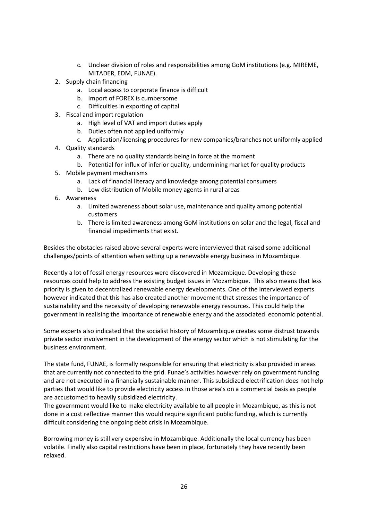- c. Unclear division of roles and responsibilities among GoM institutions (e.g. MIREME, MITADER, EDM, FUNAE).
- 2. Supply chain financing
	- a. Local access to corporate finance is difficult
	- b. Import of FOREX is cumbersome
	- c. Difficulties in exporting of capital
- 3. Fiscal and import regulation
	- a. High level of VAT and import duties apply
	- b. Duties often not applied uniformly
	- c. Application/licensing procedures for new companies/branches not uniformly applied
- 4. Quality standards
	- a. There are no quality standards being in force at the moment
	- b. Potential for influx of inferior quality, undermining market for quality products
- 5. Mobile payment mechanisms
	- a. Lack of financial literacy and knowledge among potential consumers
	- b. Low distribution of Mobile money agents in rural areas
- 6. Awareness
	- a. Limited awareness about solar use, maintenance and quality among potential customers
	- b. There is limited awareness among GoM institutions on solar and the legal, fiscal and financial impediments that exist.

Besides the obstacles raised above several experts were interviewed that raised some additional challenges/points of attention when setting up a renewable energy business in Mozambique.

 resources could help to address the existing budget issues in Mozambique. This also means that less Recently a lot of fossil energy resources were discovered in Mozambique. Developing these priority is given to decentralized renewable energy developments. One of the interviewed experts however indicated that this has also created another movement that stresses the importance of sustainability and the necessity of developing renewable energy resources. This could help the government in realising the importance of renewable energy and the associated economic potential.

Some experts also indicated that the socialist history of Mozambique creates some distrust towards private sector involvement in the development of the energy sector which is not stimulating for the business environment.

 The state fund, FUNAE, is formally responsible for ensuring that electricity is also provided in areas that are currently not connected to the grid. Funae's activities however rely on government funding and are not executed in a financially sustainable manner. This subsidized electrification does not help parties that would like to provide electricity access in those area's on a commercial basis as people are accustomed to heavily subsidized electricity.

 The government would like to make electricity available to all people in Mozambique, as this is not done in a cost reflective manner this would require significant public funding, which is currently difficult considering the ongoing debt crisis in Mozambique.

relaxed. Borrowing money is still very expensive in Mozambique. Additionally the local currency has been volatile. Finally also capital restrictions have been in place, fortunately they have recently been relaxed.<br>26 November 2014<br>26 November 2014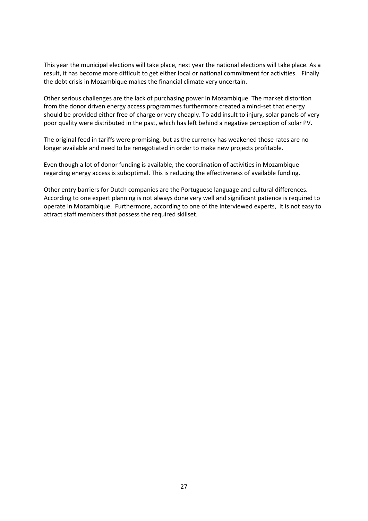result, it has become more difficult to get either local or national commitment for activities. Finally This year the municipal elections will take place, next year the national elections will take place. As a the debt crisis in Mozambique makes the financial climate very uncertain.

 poor quality were distributed in the past, which has left behind a negative perception of solar PV. Other serious challenges are the lack of purchasing power in Mozambique. The market distortion from the donor driven energy access programmes furthermore created a mind-set that energy should be provided either free of charge or very cheaply. To add insult to injury, solar panels of very

The original feed in tariffs were promising, but as the currency has weakened those rates are no longer available and need to be renegotiated in order to make new projects profitable.

Even though a lot of donor funding is available, the coordination of activities in Mozambique regarding energy access is suboptimal. This is reducing the effectiveness of available funding.

 According to one expert planning is not always done very well and significant patience is required to Other entry barriers for Dutch companies are the Portuguese language and cultural differences. operate in Mozambique. Furthermore, according to one of the interviewed experts, it is not easy to attract staff members that possess the required skillset.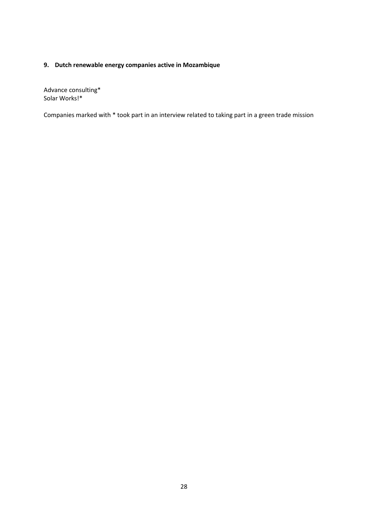### <span id="page-29-0"></span>**9. Dutch renewable energy companies active in Mozambique**

Advance consulting\* Solar Works!\*

Companies marked with \* took part in an interview related to taking part in a green trade mission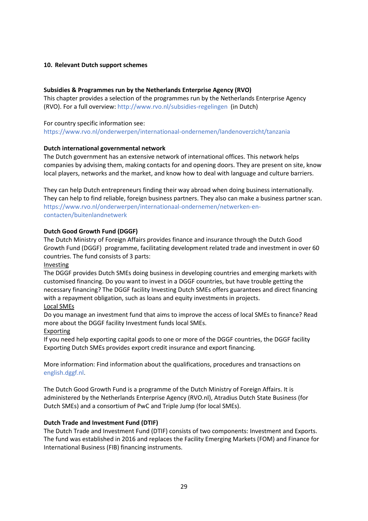#### <span id="page-30-0"></span>**10. Relevant Dutch support schemes**

#### **Subsidies & Programmes run by the Netherlands Enterprise Agency (RVO)**

This chapter provides a selection of the programmes run by the Netherlands Enterprise Agency (RVO). For a full overview:<http://www.rvo.nl/subsidies-regelingen>(in Dutch)

### For country specific information see: <https://www.rvo.nl/onderwerpen/internationaal-ondernemen/landenoverzicht/tanzania>

#### **Dutch international governmental network**

The Dutch government has an extensive network of international offices. This network helps companies by advising them, making contacts for and opening doors. They are present on site, know local players, networks and the market, and know how to deal with language and culture barriers.

 They can help Dutch entrepreneurs finding their way abroad when doing business internationally. They can help to find reliable, foreign business partners. They also can make a business partner scan. [https://www.rvo.nl/onderwerpen/internationaal-ondernemen/netwerken-en](https://www.rvo.nl/onderwerpen/internationaal-ondernemen/netwerken-en-contacten/buitenlandnetwerk)[contacten/buitenlandnetwerk](https://www.rvo.nl/onderwerpen/internationaal-ondernemen/netwerken-en-contacten/buitenlandnetwerk) 

#### **Dutch Good Growth Fund (DGGF)**

The Dutch Ministry of Foreign Affairs provides finance and insurance through the Dutch Good Growth Fund (DGGF) programme, facilitating development related trade and investment in over 60 countries. The fund consists of 3 parts:

#### Investing

The DGGF provides Dutch SMEs doing business in developing countries and emerging markets with customised financing. Do you want to invest in a DGGF countries, but have trouble getting the necessary financing? The DGGF facility Investing Dutch SMEs offers guarantees and direct financing with a repayment obligation, such as loans and equity investments in projects.

#### Local SMEs

Do you manage an investment fund that aims to improve the access of local SMEs to finance? Read more about the DGGF facility Investment funds local SMEs.

#### Exporting

 If you need help exporting capital goods to one or more of the DGGF countries, the DGGF facility Exporting Dutch SMEs provides export credit insurance and export financing.

More information: Find information about the qualifications, procedures and transactions on [english.dggf.nl.](http://english.dggf.nl/) 

 Dutch SMEs) and a consortium of PwC and Triple Jump (for local SMEs). The Dutch Good Growth Fund is a programme of the Dutch Ministry of Foreign Affairs. It is administered by the Netherlands Enterprise Agency (RVO.nl), Atradius Dutch State Business (for

#### **Dutch Trade and Investment Fund (DTIF)**

The Dutch Trade and Investment Fund (DTIF) consists of two components: Investment and Exports. The fund was established in 2016 and replaces the Facility Emerging Markets (FOM) and Finance for International Business (FIB) financing instruments.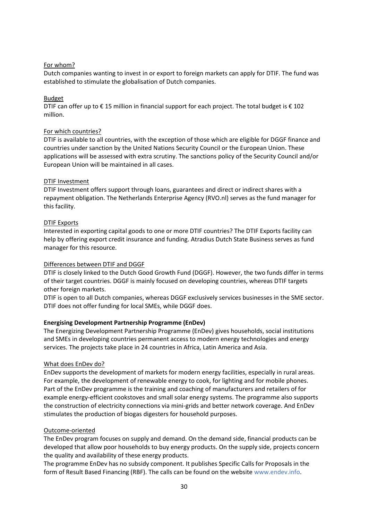<u>For whom?</u><br>Dutch companies wanting to invest in or export to foreign markets can apply for DTIF. The fund<br>established to stimulate the globalisation of Dutch companies.<br><u>Budget</u><br>DTIF can offer up to € 15 million in fina Dutch companies wanting to invest in or export to foreign markets can apply for DTIF. The fund was established to stimulate the globalisation of Dutch companies.

#### Budget

million.

#### For which countries?

DTIF is available to all countries, with the exception of those which are eligible for DGGF finance and countries under sanction by the United Nations Security Council or the European Union. These applications will be assessed with extra scrutiny. The sanctions policy of the Security Council and/or European Union will be maintained in all cases.

#### DTIF Investment

DTIF Investment offers support through loans, guarantees and direct or indirect shares with a repayment obligation. The Netherlands Enterprise Agency (RVO.nl) serves as the fund manager for this facility.

#### DTIF Exports

Interested in exporting capital goods to one or more DTIF countries? The DTIF Exports facility can help by offering export credit insurance and funding. Atradius Dutch State Business serves as fund manager for this resource.

#### Differences between DTIF and DGGF

DTIF is closely linked to the Dutch Good Growth Fund (DGGF). However, the two funds differ in terms of their target countries. DGGF is mainly focused on developing countries, whereas DTIF targets other foreign markets.

DTIF is open to all Dutch companies, whereas DGGF exclusively services businesses in the SME sector. DTIF does not offer funding for local SMEs, while DGGF does.

#### **Energising Development Partnership Programme (EnDev)**

The Energizing Development Partnership Programme (EnDev) gives households, social institutions and SMEs in developing countries permanent access to modern energy technologies and energy services. The projects take place in 24 countries in Africa, Latin America and Asia.

#### What does EnDev do?

EnDev supports the development of markets for modern energy facilities, especially in rural areas. For example, the development of renewable energy to cook, for lighting and for mobile phones. Part of the EnDev programme is the training and coaching of manufacturers and retailers of for example energy-efficient cookstoves and small solar energy systems. The programme also supports the construction of electricity connections via mini-grids and better network coverage. And EnDev stimulates the production of biogas digesters for household purposes.

#### Outcome-oriented

 developed that allow poor households to buy energy products. On the supply side, projects concern The EnDev program focuses on supply and demand. On the demand side, financial products can be the quality and availability of these energy products.

 form of Result Based Financing (RBF). The calls can be found on the website [www.endev.info.](http://www.endev.info/) The programme EnDev has no subsidy component. It publishes Specific Calls for Proposals in the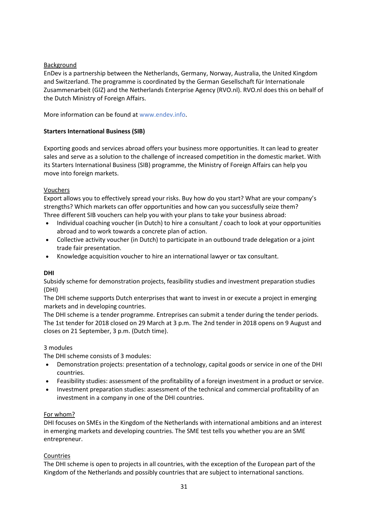Background<br>
EnDev is a partnership between the Netherlands, Gern<br>
and Switzerland. The programme is coordinated by the<br>
Zusammenarbeit (GIZ) and the Netherlands Enterprise<br>
the Dutch Ministry of Foreign Affairs.<br>
More info EnDev is a partnership between the Netherlands, Germany, Norway, Australia, the United Kingdom and Switzerland. The programme is coordinated by the German Gesellschaft für Internationale Zusammenarbeit (GIZ) and the Netherlands Enterprise Agency (RVO.nl). RVO.nl does this on behalf of the Dutch Ministry of Foreign Affairs.

More information can be found at <www.endev.info>.

#### **Starters International Business (SIB)**

 its Starters International Business (SIB) programme, the Ministry of Foreign Affairs can help you Exporting goods and services abroad offers your business more opportunities. It can lead to greater sales and serve as a solution to the challenge of increased competition in the domestic market. With move into foreign markets.

#### Vouchers

 Export allows you to effectively spread your risks. Buy how do you start? What are your company's strengths? Which markets can offer opportunities and how can you successfully seize them? Three different SIB vouchers can help you with your plans to take your business abroad:

- Individual coaching voucher (in Dutch) to hire a consultant / coach to look at your opportunities abroad and to work towards a concrete plan of action.
- Collective activity voucher (in Dutch) to participate in an outbound trade delegation or a joint trade fair presentation.
- Knowledge acquisition voucher to hire an international lawyer or tax consultant.

#### **DHI**

Subsidy scheme for demonstration projects, feasibility studies and investment preparation studies (DHI)

The DHI scheme supports Dutch enterprises that want to invest in or execute a project in emerging markets and in developing countries.

 The 1st tender for 2018 closed on 29 March at 3 p.m. The 2nd tender in 2018 opens on 9 August and The DHI scheme is a tender programme. Entreprises can submit a tender during the tender periods. closes on 21 September, 3 p.m. (Dutch time).

#### 3 modules

The DHI scheme consists of 3 modules:

- Demonstration projects: presentation of a technology, capital goods or service in one of the DHI countries.
- Feasibility studies: assessment of the profitability of a foreign investment in a product or service.
- Investment preparation studies: assessment of the technical and commercial profitability of an investment in a company in one of the DHI countries.

#### For whom?

DHI focuses on SMEs in the Kingdom of the Netherlands with international ambitions and an interest in emerging markets and developing countries. The SME test tells you whether you are an SME entrepreneur.

#### Countries

The DHI scheme is open to projects in all countries, with the exception of the European part of the Kingdom of the Netherlands and possibly countries that are subject to international sanctions.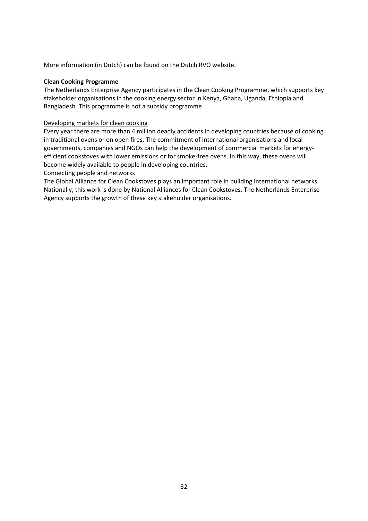More information (in Dutch) can be found on the Dutch RVO website.

#### **Clean Cooking Programme**

The Netherlands Enterprise Agency participates in the Clean Cooking Programme, which supports key stakeholder organisations in the cooking energy sector in Kenya, Ghana, Uganda, Ethiopia and Bangladesh. This programme is not a subsidy programme.

#### Developing markets for clean cooking

 efficient cookstoves with lower emissions or for smoke-free ovens. In this way, these ovens will Every year there are more than 4 million deadly accidents in developing countries because of cooking in traditional ovens or on open fires. The commitment of international organisations and local governments, companies and NGOs can help the development of commercial markets for energybecome widely available to people in developing countries.

Connecting people and networks

The Global Alliance for Clean Cookstoves plays an important role in building international networks. Nationally, this work is done by National Alliances for Clean Cookstoves. The Netherlands Enterprise Agency supports the growth of these key stakeholder organisations.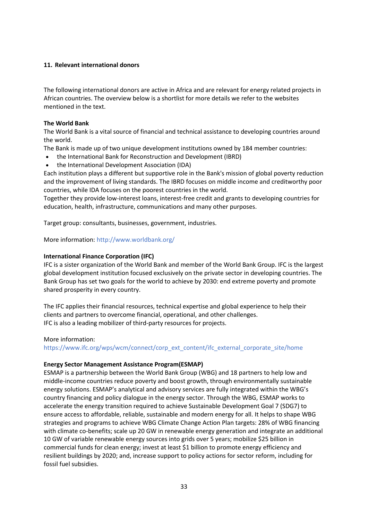#### <span id="page-34-0"></span>**11. Relevant international donors**

The following international donors are active in Africa and are relevant for energy related projects in African countries. The overview below is a shortlist for more details we refer to the websites mentioned in the text.

#### **The World Bank**

The World Bank is a vital source of financial and technical assistance to developing countries around the world.

The Bank is made up of two unique development institutions owned by 184 member countries:

- the International Bank for Reconstruction and Development (IBRD)
- the International Development Association (IDA)

Each institution plays a different but supportive role in the Bank's mission of global poverty reduction and the improvement of living standards. The IBRD focuses on middle income and creditworthy poor countries, while IDA focuses on the poorest countries in the world.

Together they provide low-interest loans, interest-free credit and grants to developing countries for education, health, infrastructure, communications and many other purposes.

Target group: consultants, businesses, government, industries.

More information:<http://www.worldbank.org/>

#### **International Finance Corporation (IFC)**

 global development institution focused exclusively on the private sector in developing countries. The IFC is a sister organization of the World Bank and member of the World Bank Group. IFC is the largest Bank Group has set two goals for the world to achieve by 2030: end extreme poverty and promote shared prosperity in every country.

The IFC applies their financial resources, technical expertise and global experience to help their clients and partners to overcome financial, operational, and other challenges. IFC is also a leading mobilizer of third-party resources for projects.

More information:

[https://www.ifc.org/wps/wcm/connect/corp\\_ext\\_content/ifc\\_external\\_corporate\\_site/home](https://www.ifc.org/wps/wcm/connect/corp_ext_content/ifc_external_corporate_site/home) 

#### **Energy Sector Management Assistance Program(ESMAP)**

 accelerate the energy transition required to achieve Sustainable Development Goal 7 (SDG7) to strategies and programs to achieve [WBG Climate Change Action Plan t](https://openknowledge.worldbank.org/handle/10986/24451)argets: 28% of WBG financing 10 GW of variable renewable energy sources into grids over 5 years; mobilize \$25 billion in commercial funds for clean energy; invest at least \$1 billion to promote energy efficiency and ESMAP is a partnership between the [World Bank Group](http://www.worldbank.org/) (WBG) and 18 partners to help low and middle-income countries reduce poverty and boost growth, through environmentally sustainable energy solutions. ESMAP's analytical and advisory services are fully integrated within the WBG's country financing and policy dialogue in the energy sector. Through the WBG, ESMAP works to ensure access to affordable, reliable, sustainable and modern energy for all. It helps to shape WBG with climate co-benefits; scale up 20 GW in renewable energy generation and integrate an additional resilient buildings by 2020; and, increase support to policy actions for sector reform, including for fossil fuel subsidies.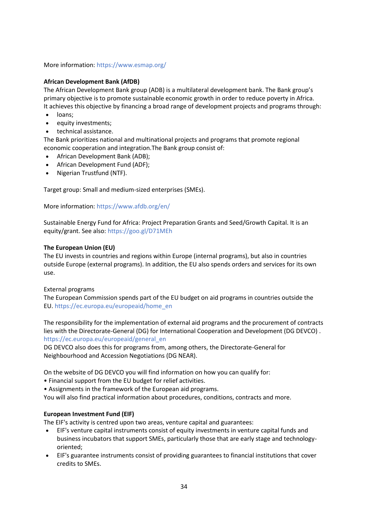#### More information:<https://www.esmap.org/>

#### **African Development Bank (AfDB)**

The African Development Bank group (ADB) is a multilateral development bank. The Bank group's primary objective is to promote sustainable economic growth in order to reduce poverty in Africa. It achieves this objective by financing a broad range of development projects and programs through:

- loans;
- equity investments;
- technical assistance.

The Bank prioritizes national and multinational projects and programs that promote regional economic cooperation and integration.The Bank group consist of:

- African Development Bank (ADB);
- African Development Fund (ADF);
- Nigerian Trustfund (NTF).

Target group: Small and medium-sized enterprises (SMEs).

More information:<https://www.afdb.org/en/>

Sustainable Energy Fund for Africa: Project Preparation Grants and Seed/Growth Capital. It is an equity/grant. See also:<https://goo.gl/D71MEh>

#### **The European Union (EU)**

The EU invests in countries and regions within Europe (internal programs), but also in countries outside Europe (external programs). In addition, the EU also spends orders and services for its own use.

#### External programs

The European Commission spends part of the EU budget on aid programs in countries outside the EU[. https://ec.europa.eu/europeaid/home\\_en](https://ec.europa.eu/europeaid/home_en) 

The responsibility for the implementation of external aid programs and the procurement of contracts lies with the Directorate-General (DG) for International Cooperation and Development (DG DEVCO) . [https://ec.europa.eu/europeaid/general\\_en](https://ec.europa.eu/europeaid/general_en) 

 Neighbourhood and Accession Negotiations (DG NEAR). DG DEVCO also does this for programs from, among others, the Directorate-General for

On the website of DG DEVCO you will find information on how you can qualify for:

- Financial support from the EU budget for relief activities.
- Assignments in the framework of the European aid programs.

You will also find practical information about procedures, conditions, contracts and more.

#### **European Investment Fund (EIF)**

The EIF's activity is centred upon two areas, venture capital and guarantees:

- EIF's venture capital instruments consist of equity investments in venture capital funds and business incubators that support SMEs, particularly those that are early stage and technologyoriented;
- EIF's guarantee instruments consist of providing guarantees to financial institutions that cover credits to SMEs.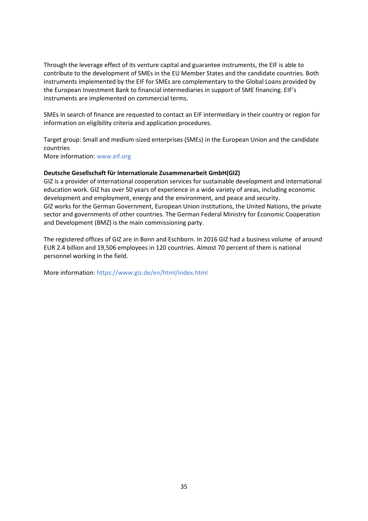Through the leverage effect of its venture capital and guarantee instruments, the EIF is able to contribute to the development of SMEs in the EU Member States and the candidate countries. Both instruments implemented by the EIF for SMEs are complementary to the Global Loans provided by the European Investment Bank to financial intermediaries in support of SME financing. EIF's instruments are implemented on commercial terms.

 SMEs in search of finance are requested to contact an EIF intermediary in their country or region for information on eligibility criteria and application procedures.

Target group: Small and medium-sized enterprises (SMEs) in the European Union and the candidate countries

More information: [www.eif.org](http://www.eif.org/) 

#### **Deutsche Gesellschaft für Internationale Zusammenarbeit GmbH(GIZ)**

GIZ is a provider of international cooperation services for sustainable development and international education work. GIZ has over 50 years of experience in a wide variety of areas, including economic development and employment, energy and the environment, and peace and security. GIZ works for the German Government, European Union institutions, the United Nations, the private sector and governments of other countries. The German Federal Ministry for Economic Cooperation and Development (BMZ) is the main commissioning party.

 The registered offices of GIZ are in Bonn and Eschborn. In 2016 GIZ had a business volume of around EUR 2.4 billion and 19,506 employees in 120 countries. Almost 70 percent of them is national personnel working in the field.

More information:<https://www.giz.de/en/html/index.html>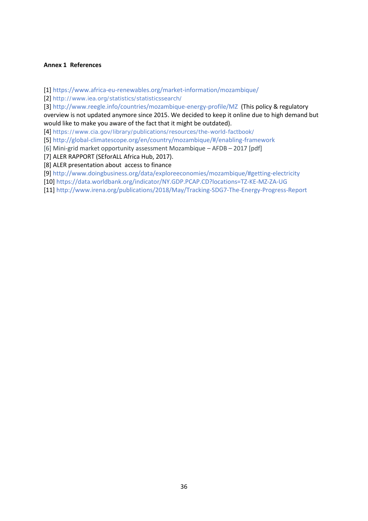#### <span id="page-37-1"></span><span id="page-37-0"></span>**Annex 1 References**

[1[\] https://www.africa-eu-renewables.org/market-information/mozambique/](https://www.africa-eu-renewables.org/market-information/mozambique/) 

[2] <http://www.iea.org/statistics/statisticssearch/>

[3[\] http://www.reegle.info/countries/mozambique-energy-profile/MZ](http://www.reegle.info/countries/mozambique-energy-profile/MZ) (This policy & regulatory overview is not updated anymore since 2015. We decided to keep it online due to high demand but would like to make you aware of the fact that it might be outdated).

[4] <https://www.cia.gov/library/publications/resources/the-world-factbook/>

[5[\] http://global-climatescope.org/en/country/mozambique/#/enabling-framework](http://global-climatescope.org/en/country/mozambique/#/enabling-framework) 

[6] Mini-grid market opportunity assessment Mozambique – AFDB – 2017 [pdf]

[7] ALER RAPPORT (SEforALL Africa Hub, 2017).

[8] ALER presentation about access to finance

[9[\] http://www.doingbusiness.org/data/exploreeconomies/mozambique/#getting-electricity](http://www.doingbusiness.org/data/exploreeconomies/mozambique/#getting-electricity) 

[10]<https://data.worldbank.org/indicator/NY.GDP.PCAP.CD?locations=TZ-KE-MZ-ZA-UG>

[11]<http://www.irena.org/publications/2018/May/Tracking-SDG7-The-Energy-Progress-Report>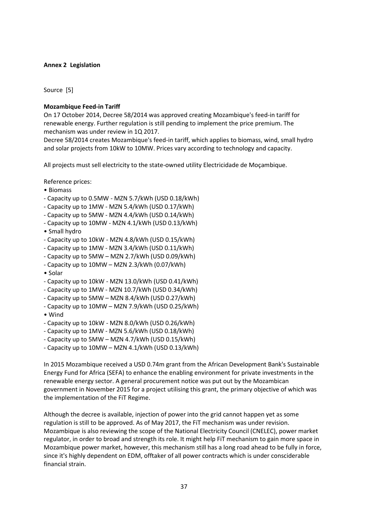#### <span id="page-38-0"></span>**Annex 2 Legislation**

Source [5]

#### **Mozambique Feed-in Tariff**

On 17 October 2014, Decree 58/2014 was approved creating Mozambique's feed-in tariff for renewable energy. Further regulation is still pending to implement the price premium. The mechanism was under review in 1Q 2017.

 Decree 58/2014 creates Mozambique's feed-in tariff, which applies to biomass, wind, small hydro and solar projects from 10kW to 10MW. Prices vary according to technology and capacity.

All projects must sell electricity to the state-owned utility Electricidade de Moçambique.

Reference prices:

- Biomass
- Capacity up to 0.5MW MZN 5.7/kWh (USD 0.18/kWh)
- Capacity up to 1MW MZN 5.4/kWh (USD 0.17/kWh)
- Capacity up to 5MW MZN 4.4/kWh (USD 0.14/kWh)
- Capacity up to 10MW MZN 4.1/kWh (USD 0.13/kWh)
- Small hydro
- Capacity up to 10kW MZN 4.8/kWh (USD 0.15/kWh)
- Capacity up to 1MW MZN 3.4/kWh (USD 0.11/kWh)
- Capacity up to 5MW MZN 2.7/kWh (USD 0.09/kWh)
- Capacity up to 10MW MZN 2.3/kWh (0.07/kWh)
- Solar
- Capacity up to 10kW MZN 13.0/kWh (USD 0.41/kWh)
- Capacity up to 1MW MZN 10.7/kWh (USD 0.34/kWh)
- Capacity up to 5MW MZN 8.4/kWh (USD 0.27/kWh)
- Capacity up to 10MW MZN 7.9/kWh (USD 0.25/kWh)
- Wind
- Capacity up to 10kW MZN 8.0/kWh (USD 0.26/kWh)
- Capacity up to 1MW MZN 5.6/kWh (USD 0.18/kWh)
- Capacity up to 5MW MZN 4.7/kWh (USD 0.15/kWh)
- Capacity up to 10MW MZN 4.1/kWh (USD 0.13/kWh)

In 2015 Mozambique received a USD 0.74m grant from the African Development Bank's Sustainable Energy Fund for Africa (SEFA) to enhance the enabling environment for private investments in the renewable energy sector. A general procurement notice was put out by the Mozambican government in November 2015 for a project utilising this grant, the primary objective of which was the implementation of the FiT Regime.

Although the decree is available, injection of power into the grid cannot happen yet as some regulation is still to be approved. As of May 2017, the FiT mechanism was under revision. Mozambique is also reviewing the scope of the National Electricity Council (CNELEC), power market regulator, in order to broad and strength its role. It might help FiT mechanism to gain more space in Mozambique power market, however, this mechanism still has a long road ahead to be fully in force, since it's highly dependent on EDM, offtaker of all power contracts which is under consciderable financial strain.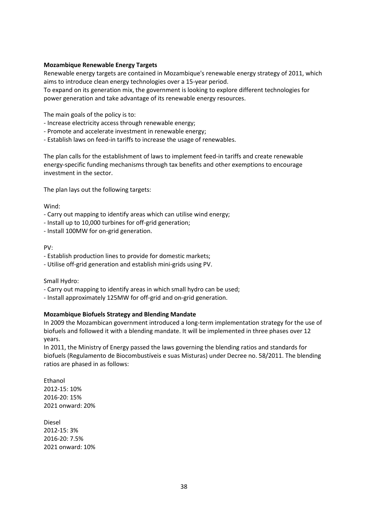#### **Mozambique Renewable Energy Targets**

Renewable energy targets are contained in Mozambique's renewable energy strategy of 2011, which aims to introduce clean energy technologies over a 15-year period.

To expand on its generation mix, the government is looking to explore different technologies for power generation and take advantage of its renewable energy resources.

The main goals of the policy is to:

- Increase electricity access through renewable energy;
- Promote and accelerate investment in renewable energy;
- Establish laws on feed-in tariffs to increase the usage of renewables.

The plan calls for the establishment of laws to implement feed-in tariffs and create renewable energy-specific funding mechanisms through tax benefits and other exemptions to encourage investment in the sector.

The plan lays out the following targets:

Wind:

- Carry out mapping to identify areas which can utilise wind energy;
- Install up to 10,000 turbines for off-grid generation;
- Install 100MW for on-grid generation.

#### PV:

- Establish production lines to provide for domestic markets;
- Utilise off-grid generation and establish mini-grids using PV.

Small Hydro:

- Carry out mapping to identify areas in which small hydro can be used;
- Install approximately 125MW for off-grid and on-grid generation.

#### **Mozambique Biofuels Strategy and Blending Mandate**

 biofuels and followed it with a blending mandate. It will be implemented in three phases over 12 In 2009 the Mozambican government introduced a long-term implementation strategy for the use of years.

In 2011, the Ministry of Energy passed the laws governing the blending ratios and standards for biofuels (Regulamento de Biocombustíveis e suas Misturas) under Decree no. 58/2011. The blending ratios are phased in as follows:

 2021 onward: 20% Ethanol 2012-15: 10% 2016-20: 15%

 2021 onward: 10% Diesel 2012-15: 3% 2016-20: 7.5%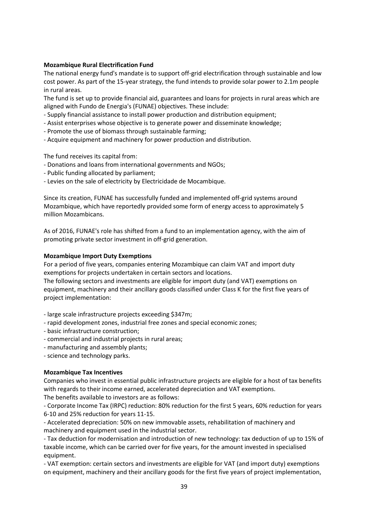#### **Mozambique Rural Electrification Fund**

The national energy fund's mandate is to support off-grid electrification through sustainable and low cost power. As part of the 15-year strategy, the fund intends to provide solar power to 2.1m people in rural areas.

The fund is set up to provide financial aid, guarantees and loans for projects in rural areas which are aligned with Fundo de Energia's (FUNAE) objectives. These include:

- Supply financial assistance to install power production and distribution equipment;
- Assist enterprises whose objective is to generate power and disseminate knowledge;
- Promote the use of biomass through sustainable farming;
- Acquire equipment and machinery for power production and distribution.

The fund receives its capital from:

- Donations and loans from international governments and NGOs;
- Public funding allocated by parliament;
- Levies on the sale of electricity by Electricidade de Mocambique.

 Mozambique, which have reportedly provided some form of energy access to approximately 5 Since its creation, FUNAE has successfully funded and implemented off-grid systems around million Mozambicans.

 As of 2016, FUNAE's role has shifted from a fund to an implementation agency, with the aim of promoting private sector investment in off-grid generation.

#### **Mozambique Import Duty Exemptions**

For a period of five years, companies entering Mozambique can claim VAT and import duty exemptions for projects undertaken in certain sectors and locations.

The following sectors and investments are eligible for import duty (and VAT) exemptions on equipment, machinery and their ancillary goods classified under Class K for the first five years of project implementation:

- large scale infrastructure projects exceeding \$347m;
- rapid development zones, industrial free zones and special economic zones;
- basic infrastructure construction;
- commercial and industrial projects in rural areas;
- manufacturing and assembly plants;
- science and technology parks.

#### **Mozambique Tax Incentives**

Companies who invest in essential public infrastructure projects are eligible for a host of tax benefits with regards to their income earned, accelerated depreciation and VAT exemptions. The benefits available to investors are as follows:

- Corporate Income Tax (IRPC) reduction: 80% reduction for the first 5 years, 60% reduction for years 6-10 and 25% reduction for years 11-15.

- Accelerated depreciation: 50% on new immovable assets, rehabilitation of machinery and machinery and equipment used in the industrial sector.

 - Tax deduction for modernisation and introduction of new technology: tax deduction of up to 15% of taxable income, which can be carried over for five years, for the amount invested in specialised equipment.

- VAT exemption: certain sectors and investments are eligible for VAT (and import duty) exemptions on equipment, machinery and their ancillary goods for the first five years of project implementation,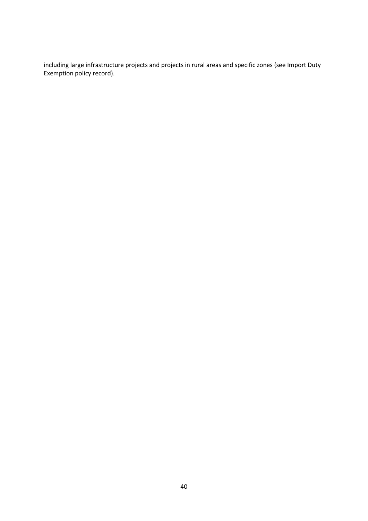including large infrastructure projects and projects in rural areas and specific zones (see Import Duty Exemption policy record).